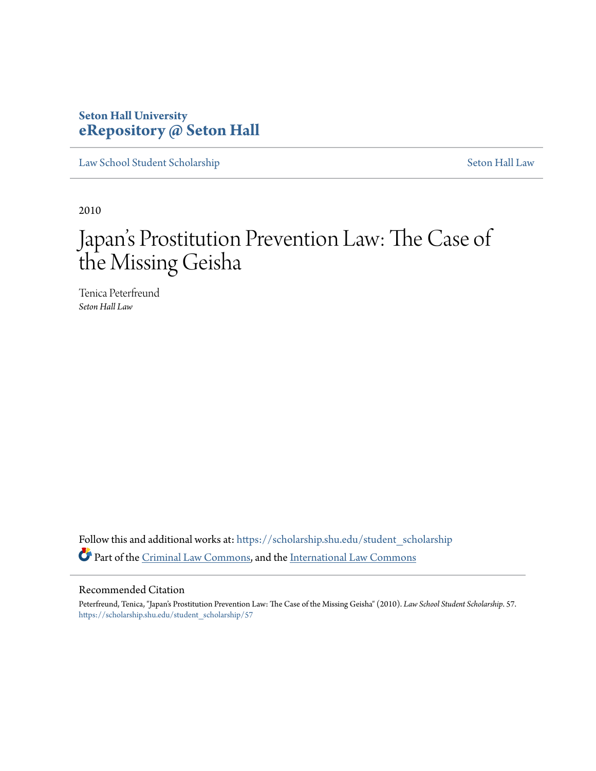# **Seton Hall University [eRepository @ Seton Hall](https://scholarship.shu.edu?utm_source=scholarship.shu.edu%2Fstudent_scholarship%2F57&utm_medium=PDF&utm_campaign=PDFCoverPages)**

[Law School Student Scholarship](https://scholarship.shu.edu/student_scholarship?utm_source=scholarship.shu.edu%2Fstudent_scholarship%2F57&utm_medium=PDF&utm_campaign=PDFCoverPages) [Seton Hall Law](https://scholarship.shu.edu/law?utm_source=scholarship.shu.edu%2Fstudent_scholarship%2F57&utm_medium=PDF&utm_campaign=PDFCoverPages)

2010

# Japan 's Prostitution Prevention Law: The Case of the Missing Geisha

Tenica Peterfreund *Seton Hall Law*

Follow this and additional works at: [https://scholarship.shu.edu/student\\_scholarship](https://scholarship.shu.edu/student_scholarship?utm_source=scholarship.shu.edu%2Fstudent_scholarship%2F57&utm_medium=PDF&utm_campaign=PDFCoverPages) Part of the [Criminal Law Commons](http://network.bepress.com/hgg/discipline/912?utm_source=scholarship.shu.edu%2Fstudent_scholarship%2F57&utm_medium=PDF&utm_campaign=PDFCoverPages), and the [International Law Commons](http://network.bepress.com/hgg/discipline/609?utm_source=scholarship.shu.edu%2Fstudent_scholarship%2F57&utm_medium=PDF&utm_campaign=PDFCoverPages)

### Recommended Citation

Peterfreund, Tenica, "Japan's Prostitution Prevention Law: The Case of the Missing Geisha" (2010). *Law School Student Scholarship*. 57. [https://scholarship.shu.edu/student\\_scholarship/57](https://scholarship.shu.edu/student_scholarship/57?utm_source=scholarship.shu.edu%2Fstudent_scholarship%2F57&utm_medium=PDF&utm_campaign=PDFCoverPages)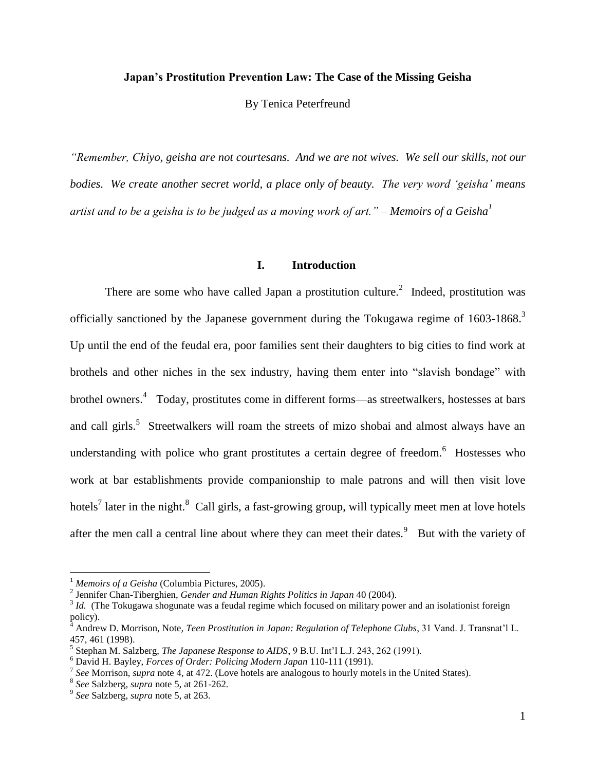# **Japan's Prostitution Prevention Law: The Case of the Missing Geisha**

By Tenica Peterfreund

*"Remember, Chiyo, geisha are not courtesans. And we are not wives. We sell our skills, not our bodies. We create another secret world, a place only of beauty. The very word 'geisha' means artist and to be a geisha is to be judged as a moving work of art." – Memoirs of a Geisha<sup>1</sup>*

## **I. Introduction**

There are some who have called Japan a prostitution culture.<sup>2</sup> Indeed, prostitution was officially sanctioned by the Japanese government during the Tokugawa regime of  $1603$ - $1868$ <sup>3</sup> Up until the end of the feudal era, poor families sent their daughters to big cities to find work at brothels and other niches in the sex industry, having them enter into "slavish bondage" with brothel owners.<sup>4</sup> Today, prostitutes come in different forms—as streetwalkers, hostesses at bars and call girls.<sup>5</sup> Streetwalkers will roam the streets of mizo shobai and almost always have an understanding with police who grant prostitutes a certain degree of freedom.<sup>6</sup> Hostesses who work at bar establishments provide companionship to male patrons and will then visit love hotels<sup>7</sup> later in the night.<sup>8</sup> Call girls, a fast-growing group, will typically meet men at love hotels after the men call a central line about where they can meet their dates.<sup>9</sup> But with the variety of

<sup>&</sup>lt;sup>1</sup> *Memoirs of a Geisha* (Columbia Pictures, 2005).

<sup>2</sup> Jennifer Chan-Tiberghien, *Gender and Human Rights Politics in Japan* 40 (2004).

<sup>&</sup>lt;sup>3</sup> *Id.* (The Tokugawa shogunate was a feudal regime which focused on military power and an isolationist foreign policy).

<sup>4</sup> Andrew D. Morrison, Note, *Teen Prostitution in Japan: Regulation of Telephone Clubs*, 31 Vand. J. Transnat'l L. 457, 461 (1998).

<sup>5</sup> Stephan M. Salzberg, *The Japanese Response to AIDS*, 9 B.U. Int'l L.J. 243, 262 (1991).

<sup>6</sup> David H. Bayley, *Forces of Order: Policing Modern Japan* 110-111 (1991).

<sup>7</sup> *See* Morrison, *supra* note 4, at 472. (Love hotels are analogous to hourly motels in the United States).

<sup>8</sup> *See* Salzberg, *supra* note 5, at 261-262.

<sup>9</sup> *See* Salzberg, *supra* note 5, at 263.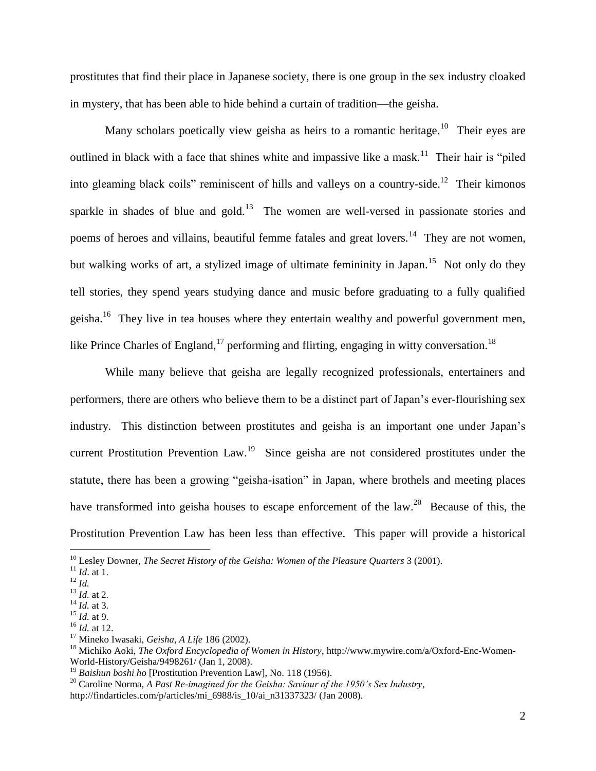prostitutes that find their place in Japanese society, there is one group in the sex industry cloaked in mystery, that has been able to hide behind a curtain of tradition—the geisha.

Many scholars poetically view geisha as heirs to a romantic heritage.<sup>10</sup> Their eyes are outlined in black with a face that shines white and impassive like a mask.<sup>11</sup> Their hair is "piled" into gleaming black coils" reminiscent of hills and valleys on a country-side.<sup>12</sup> Their kimonos sparkle in shades of blue and gold.<sup>13</sup> The women are well-versed in passionate stories and poems of heroes and villains, beautiful femme fatales and great lovers.<sup>14</sup> They are not women, but walking works of art, a stylized image of ultimate femininity in Japan.<sup>15</sup> Not only do they tell stories, they spend years studying dance and music before graduating to a fully qualified geisha.<sup>16</sup> They live in tea houses where they entertain wealthy and powerful government men, like Prince Charles of England,<sup>17</sup> performing and flirting, engaging in witty conversation.<sup>18</sup>

While many believe that geisha are legally recognized professionals, entertainers and performers, there are others who believe them to be a distinct part of Japan's ever-flourishing sex industry. This distinction between prostitutes and geisha is an important one under Japan's current Prostitution Prevention Law.<sup>19</sup> Since geisha are not considered prostitutes under the statute, there has been a growing "geisha-isation" in Japan, where brothels and meeting places have transformed into geisha houses to escape enforcement of the  $law$ <sup>20</sup> Because of this, the Prostitution Prevention Law has been less than effective. This paper will provide a historical

<sup>10</sup> Lesley Downer, *The Secret History of the Geisha: Women of the Pleasure Quarters* 3 (2001).

<sup>11</sup> *Id*. at 1.

<sup>12</sup> *Id.*

<sup>13</sup> *Id.* at 2.

<sup>14</sup> *Id.* at 3. <sup>15</sup> *Id.* at 9.

<sup>16</sup> *Id.* at 12.

<sup>17</sup> Mineko Iwasaki, *Geisha, A Life* 186 (2002).

<sup>18</sup> Michiko Aoki, *The Oxford Encyclopedia of Women in History*, http://www.mywire.com/a/Oxford-Enc-Women-World-History/Geisha/9498261/ (Jan 1, 2008).

<sup>19</sup> *Baishun boshi ho* [Prostitution Prevention Law], No. 118 (1956).

<sup>20</sup> Caroline Norma, *A Past Re-imagined for the Geisha: Saviour of the 1950's Sex Industry,*

http://findarticles.com/p/articles/mi\_6988/is\_10/ai\_n31337323/ (Jan 2008).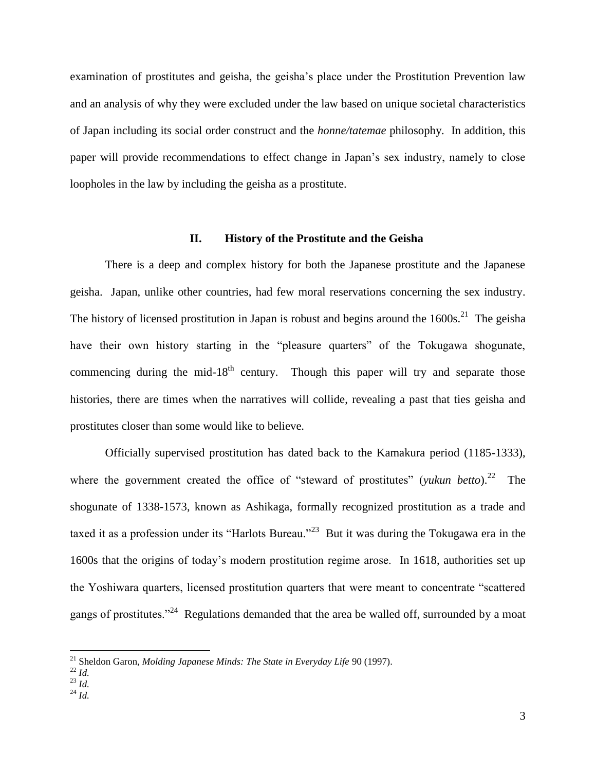examination of prostitutes and geisha, the geisha's place under the Prostitution Prevention law and an analysis of why they were excluded under the law based on unique societal characteristics of Japan including its social order construct and the *honne/tatemae* philosophy. In addition, this paper will provide recommendations to effect change in Japan's sex industry, namely to close loopholes in the law by including the geisha as a prostitute.

#### **II. History of the Prostitute and the Geisha**

There is a deep and complex history for both the Japanese prostitute and the Japanese geisha. Japan, unlike other countries, had few moral reservations concerning the sex industry. The history of licensed prostitution in Japan is robust and begins around the  $1600s$ <sup>21</sup>. The geisha have their own history starting in the "pleasure quarters" of the Tokugawa shogunate, commencing during the mid-18<sup>th</sup> century. Though this paper will try and separate those histories, there are times when the narratives will collide, revealing a past that ties geisha and prostitutes closer than some would like to believe.

Officially supervised prostitution has dated back to the Kamakura period (1185-1333), where the government created the office of "steward of prostitutes" (*yukun betto*).<sup>22</sup> The shogunate of 1338-1573, known as Ashikaga, formally recognized prostitution as a trade and taxed it as a profession under its "Harlots Bureau."<sup>23</sup> But it was during the Tokugawa era in the 1600s that the origins of today's modern prostitution regime arose. In 1618, authorities set up the Yoshiwara quarters, licensed prostitution quarters that were meant to concentrate "scattered gangs of prostitutes."<sup>24</sup> Regulations demanded that the area be walled off, surrounded by a moat

 $\overline{a}$ 

<sup>24</sup> *Id.*

<sup>21</sup> Sheldon Garon, *Molding Japanese Minds: The State in Everyday Life* 90 (1997).

<sup>22</sup> *Id.*

<sup>23</sup> *Id.*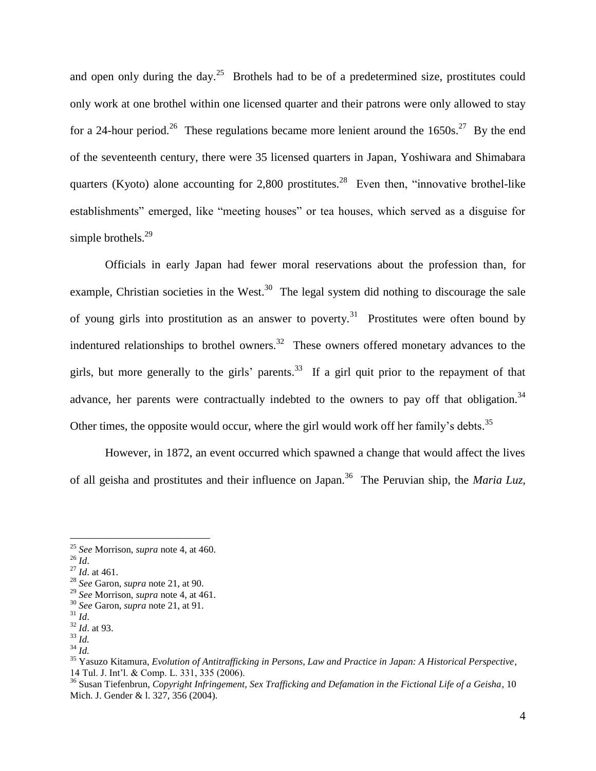and open only during the day.<sup>25</sup> Brothels had to be of a predetermined size, prostitutes could only work at one brothel within one licensed quarter and their patrons were only allowed to stay for a 24-hour period.<sup>26</sup> These regulations became more lenient around the  $1650s$ .<sup>27</sup> By the end of the seventeenth century, there were 35 licensed quarters in Japan, Yoshiwara and Shimabara quarters (Kyoto) alone accounting for 2,800 prostitutes.<sup>28</sup> Even then, "innovative brothel-like establishments" emerged, like "meeting houses" or tea houses, which served as a disguise for simple brothels. $^{29}$ 

Officials in early Japan had fewer moral reservations about the profession than, for example, Christian societies in the West.<sup>30</sup> The legal system did nothing to discourage the sale of young girls into prostitution as an answer to poverty.<sup>31</sup> Prostitutes were often bound by indentured relationships to brothel owners.<sup>32</sup> These owners offered monetary advances to the girls, but more generally to the girls' parents.<sup>33</sup> If a girl quit prior to the repayment of that advance, her parents were contractually indebted to the owners to pay off that obligation.<sup>34</sup> Other times, the opposite would occur, where the girl would work off her family's debts.<sup>35</sup>

However, in 1872, an event occurred which spawned a change that would affect the lives of all geisha and prostitutes and their influence on Japan.<sup>36</sup> The Peruvian ship, the *Maria Luz*,

<sup>25</sup> *See* Morrison, *supra* note 4, at 460.

<sup>26</sup> *Id*.

<sup>27</sup> *Id*. at 461.

<sup>28</sup> *See* Garon, *supra* note 21, at 90.

<sup>29</sup> *See* Morrison, *supra* note 4, at 461.

<sup>30</sup> *See* Garon, *supra* note 21, at 91.

<sup>31</sup> *Id*.

<sup>32</sup> *Id*. at 93. <sup>33</sup> *Id.*

<sup>34</sup> *Id.*

<sup>35</sup> Yasuzo Kitamura, *Evolution of Antitrafficking in Persons, Law and Practice in Japan: A Historical Perspective*, 14 Tul. J. Int'l. & Comp. L. 331, 335 (2006).

<sup>36</sup> Susan Tiefenbrun, *Copyright Infringement, Sex Trafficking and Defamation in the Fictional Life of a Geisha*, 10 Mich. J. Gender & l. 327, 356 (2004).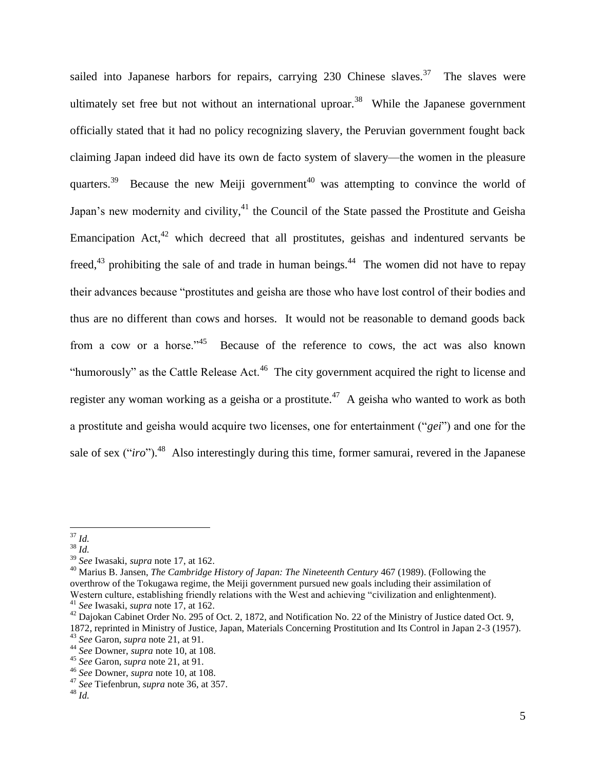sailed into Japanese harbors for repairs, carrying  $230$  Chinese slaves.<sup>37</sup> The slaves were ultimately set free but not without an international uproar.<sup>38</sup> While the Japanese government officially stated that it had no policy recognizing slavery, the Peruvian government fought back claiming Japan indeed did have its own de facto system of slavery—the women in the pleasure quarters.<sup>39</sup> Because the new Meiji government<sup>40</sup> was attempting to convince the world of Japan's new modernity and civility, $^{41}$  the Council of the State passed the Prostitute and Geisha Emancipation Act, $42$  which decreed that all prostitutes, geishas and indentured servants be freed,<sup>43</sup> prohibiting the sale of and trade in human beings.<sup>44</sup> The women did not have to repay their advances because "prostitutes and geisha are those who have lost control of their bodies and thus are no different than cows and horses. It would not be reasonable to demand goods back from a cow or a horse."<sup>45</sup> Because of the reference to cows, the act was also known "humorously" as the Cattle Release Act. $46$  The city government acquired the right to license and register any woman working as a geisha or a prostitute.<sup>47</sup> A geisha who wanted to work as both a prostitute and geisha would acquire two licenses, one for entertainment ("*gei*") and one for the sale of sex ("*iro*").<sup>48</sup> Also interestingly during this time, former samurai, revered in the Japanese

 $\overline{a}$ <sup>37</sup> *Id.*

 $38 \frac{10}{1}$ 

<sup>39</sup> *See* Iwasaki, *supra* note 17, at 162.

<sup>40</sup> Marius B. Jansen, *The Cambridge History of Japan: The Nineteenth Century* 467 (1989). (Following the overthrow of the Tokugawa regime, the Meiji government pursued new goals including their assimilation of Western culture, establishing friendly relations with the West and achieving "civilization and enlightenment). <sup>41</sup> *See* Iwasaki, *supra* note 17, at 162.

 $42$  Dajokan Cabinet Order No. 295 of Oct. 2, 1872, and Notification No. 22 of the Ministry of Justice dated Oct. 9, 1872, reprinted in Ministry of Justice, Japan, Materials Concerning Prostitution and Its Control in Japan 2-3 (1957).

<sup>43</sup> *See* Garon, *supra* note 21, at 91.

<sup>44</sup> *See* Downer, *supra* note 10, at 108.

<sup>45</sup> *See* Garon, *supra* note 21, at 91.

<sup>46</sup> *See* Downer, *supra* note 10, at 108.

<sup>47</sup> *See* Tiefenbrun, *supra* note 36, at 357.

<sup>48</sup> *Id.*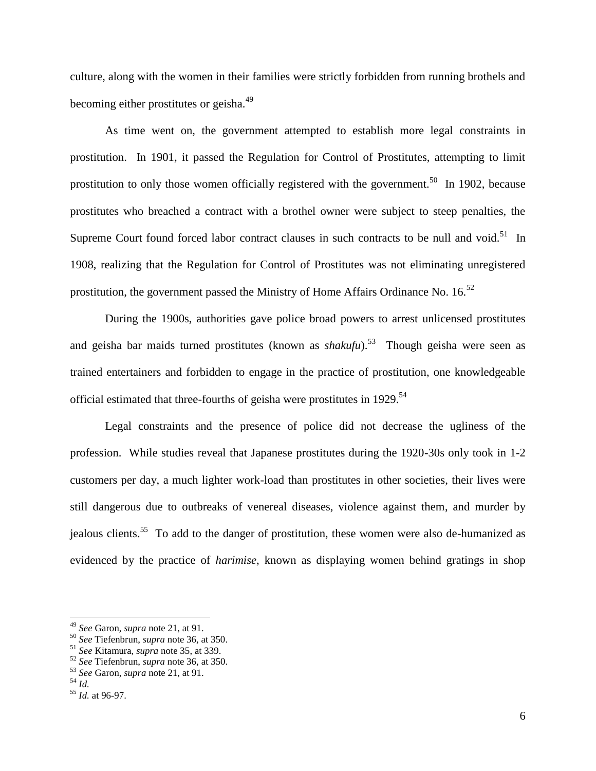culture, along with the women in their families were strictly forbidden from running brothels and becoming either prostitutes or geisha.<sup>49</sup>

As time went on, the government attempted to establish more legal constraints in prostitution. In 1901, it passed the Regulation for Control of Prostitutes, attempting to limit prostitution to only those women officially registered with the government.<sup>50</sup> In 1902, because prostitutes who breached a contract with a brothel owner were subject to steep penalties, the Supreme Court found forced labor contract clauses in such contracts to be null and void.<sup>51</sup> In 1908, realizing that the Regulation for Control of Prostitutes was not eliminating unregistered prostitution, the government passed the Ministry of Home Affairs Ordinance No.  $16^{52}$ 

During the 1900s, authorities gave police broad powers to arrest unlicensed prostitutes and geisha bar maids turned prostitutes (known as *shakufu*).<sup>53</sup> Though geisha were seen as trained entertainers and forbidden to engage in the practice of prostitution, one knowledgeable official estimated that three-fourths of geisha were prostitutes in 1929.<sup>54</sup>

Legal constraints and the presence of police did not decrease the ugliness of the profession. While studies reveal that Japanese prostitutes during the 1920-30s only took in 1-2 customers per day, a much lighter work-load than prostitutes in other societies, their lives were still dangerous due to outbreaks of venereal diseases, violence against them, and murder by jealous clients. 55 To add to the danger of prostitution, these women were also de-humanized as evidenced by the practice of *harimise*, known as displaying women behind gratings in shop

<sup>49</sup> *See* Garon, *supra* note 21, at 91.

<sup>50</sup> *See* Tiefenbrun, *supra* note 36, at 350.

<sup>51</sup> *See* Kitamura, *supra* note 35, at 339.

<sup>52</sup> *See* Tiefenbrun, *supra* note 36, at 350.

<sup>53</sup> *See* Garon, *supra* note 21, at 91.

 $\overline{5^4}$  *Id.* 

<sup>55</sup> *Id.* at 96-97.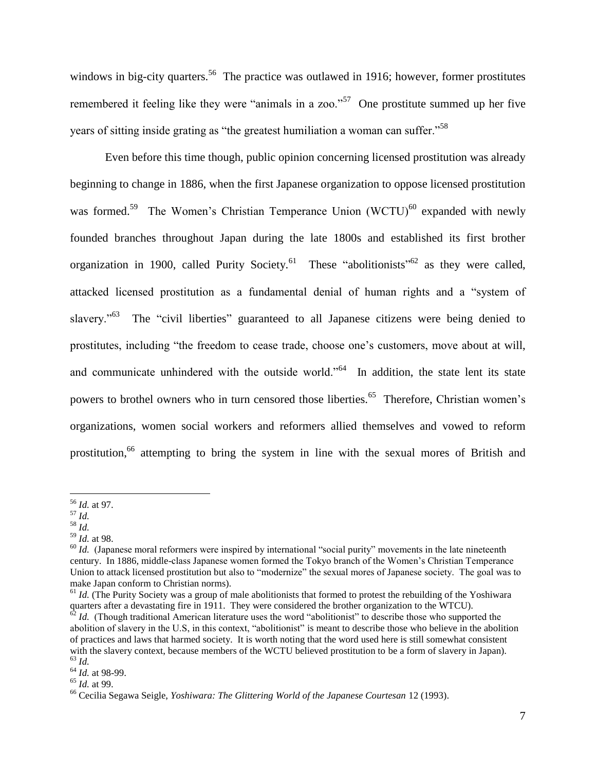windows in big-city quarters.<sup>56</sup> The practice was outlawed in 1916; however, former prostitutes remembered it feeling like they were "animals in a zoo."<sup>57</sup> One prostitute summed up her five years of sitting inside grating as "the greatest humiliation a woman can suffer."<sup>58</sup>

Even before this time though, public opinion concerning licensed prostitution was already beginning to change in 1886, when the first Japanese organization to oppose licensed prostitution was formed.<sup>59</sup> The Women's Christian Temperance Union (WCTU)<sup>60</sup> expanded with newly founded branches throughout Japan during the late 1800s and established its first brother organization in 1900, called Purity Society.<sup>61</sup> These "abolitionists"<sup>62</sup> as they were called, attacked licensed prostitution as a fundamental denial of human rights and a "system of slavery."<sup>63</sup> The "civil liberties" guaranteed to all Japanese citizens were being denied to prostitutes, including "the freedom to cease trade, choose one's customers, move about at will, and communicate unhindered with the outside world."<sup>64</sup> In addition, the state lent its state powers to brothel owners who in turn censored those liberties.<sup>65</sup> Therefore, Christian women's organizations, women social workers and reformers allied themselves and vowed to reform prostitution,<sup>66</sup> attempting to bring the system in line with the sexual mores of British and

<sup>56</sup> *Id.* at 97.

 $\frac{1}{57}$  *Id.* 

<sup>58</sup> *Id.*

<sup>59</sup> *Id.* at 98.

<sup>&</sup>lt;sup>60</sup> *Id.* (Japanese moral reformers were inspired by international "social purity" movements in the late nineteenth century. In 1886, middle-class Japanese women formed the Tokyo branch of the Women's Christian Temperance Union to attack licensed prostitution but also to "modernize" the sexual mores of Japanese society. The goal was to make Japan conform to Christian norms).

 $61$  *Id.* (The Purity Society was a group of male abolitionists that formed to protest the rebuilding of the Yoshiwara quarters after a devastating fire in 1911. They were considered the brother organization to the WTCU).

 $62$  *Id.* (Though traditional American literature uses the word "abolitionist" to describe those who supported the abolition of slavery in the U.S, in this context, "abolitionist" is meant to describe those who believe in the abolition of practices and laws that harmed society. It is worth noting that the word used here is still somewhat consistent with the slavery context, because members of the WCTU believed prostitution to be a form of slavery in Japan). <sup>63</sup> *Id.*

<sup>64</sup> *Id.* at 98-99.

<sup>65</sup> *Id.* at 99.

<sup>66</sup> Cecilia Segawa Seigle, *Yoshiwara: The Glittering World of the Japanese Courtesan* 12 (1993).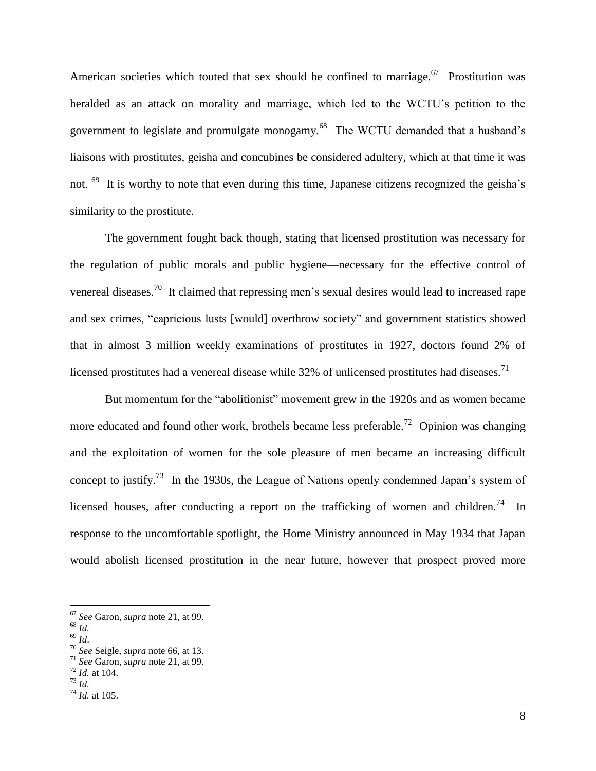American societies which touted that sex should be confined to marriage.<sup>67</sup> Prostitution was heralded as an attack on morality and marriage, which led to the WCTU's petition to the government to legislate and promulgate monogamy.<sup>68</sup> The WCTU demanded that a husband's liaisons with prostitutes, geisha and concubines be considered adultery, which at that time it was not. <sup>69</sup> It is worthy to note that even during this time, Japanese citizens recognized the geisha's similarity to the prostitute.

The government fought back though, stating that licensed prostitution was necessary for the regulation of public morals and public hygiene—necessary for the effective control of venereal diseases.<sup>70</sup> It claimed that repressing men's sexual desires would lead to increased rape and sex crimes, "capricious lusts [would] overthrow society" and government statistics showed that in almost 3 million weekly examinations of prostitutes in 1927, doctors found 2% of licensed prostitutes had a venereal disease while 32% of unlicensed prostitutes had diseases.<sup>71</sup>

But momentum for the "abolitionist" movement grew in the 1920s and as women became more educated and found other work, brothels became less preferable.<sup>72</sup> Opinion was changing and the exploitation of women for the sole pleasure of men became an increasing difficult concept to justify.<sup>73</sup> In the 1930s, the League of Nations openly condemned Japan's system of licensed houses, after conducting a report on the trafficking of women and children.<sup>74</sup> In response to the uncomfortable spotlight, the Home Ministry announced in May 1934 that Japan would abolish licensed prostitution in the near future, however that prospect proved more

<sup>67</sup> *See* Garon, *supra* note 21, at 99.

<sup>68</sup> *Id.*

<sup>69</sup> *Id*.

<sup>70</sup> *See* Seigle, *supra* note 66, at 13.

<sup>71</sup> *See* Garon, *supra* note 21, at 99.  $72$  *Id.* at 104.

<sup>73</sup> *Id.*

<sup>74</sup> *Id.* at 105.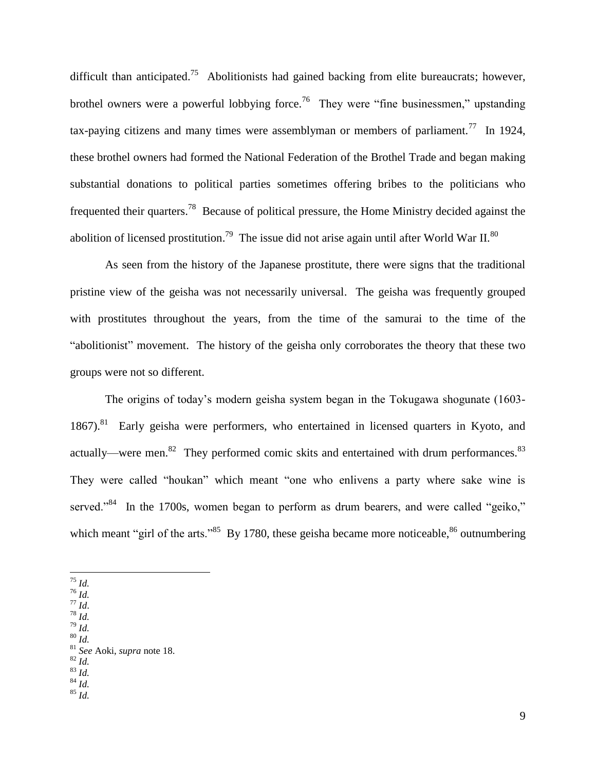difficult than anticipated.<sup>75</sup> Abolitionists had gained backing from elite bureaucrats; however, brothel owners were a powerful lobbying force.<sup>76</sup> They were "fine businessmen," upstanding tax-paying citizens and many times were assemblyman or members of parliament.<sup>77</sup> In 1924, these brothel owners had formed the National Federation of the Brothel Trade and began making substantial donations to political parties sometimes offering bribes to the politicians who frequented their quarters.<sup>78</sup> Because of political pressure, the Home Ministry decided against the abolition of licensed prostitution.<sup>79</sup> The issue did not arise again until after World War II.<sup>80</sup>

As seen from the history of the Japanese prostitute, there were signs that the traditional pristine view of the geisha was not necessarily universal. The geisha was frequently grouped with prostitutes throughout the years, from the time of the samurai to the time of the "abolitionist" movement. The history of the geisha only corroborates the theory that these two groups were not so different.

The origins of today's modern geisha system began in the Tokugawa shogunate (1603- 1867).<sup>81</sup> Early geisha were performers, who entertained in licensed quarters in Kyoto, and actually—were men.<sup>82</sup> They performed comic skits and entertained with drum performances.<sup>83</sup> They were called "houkan" which meant "one who enlivens a party where sake wine is served."<sup>84</sup> In the 1700s, women began to perform as drum bearers, and were called "geiko," which meant "girl of the arts."<sup>85</sup> By 1780, these geisha became more noticeable,  $86$  outnumbering

- $\overline{a}$ <sup>75</sup> *Id.*
- $\overline{76}$  *Id.*
- <sup>77</sup> *Id*. <sup>78</sup> *Id.*
- <sup>79</sup> *Id.*
- <sup>80</sup> *Id.*

- <sup>82</sup> *Id.*
- <sup>83</sup> *Id.*
- <sup>84</sup> *Id.*

<sup>81</sup> *See* Aoki, *supra* note 18.

<sup>85</sup> *Id.*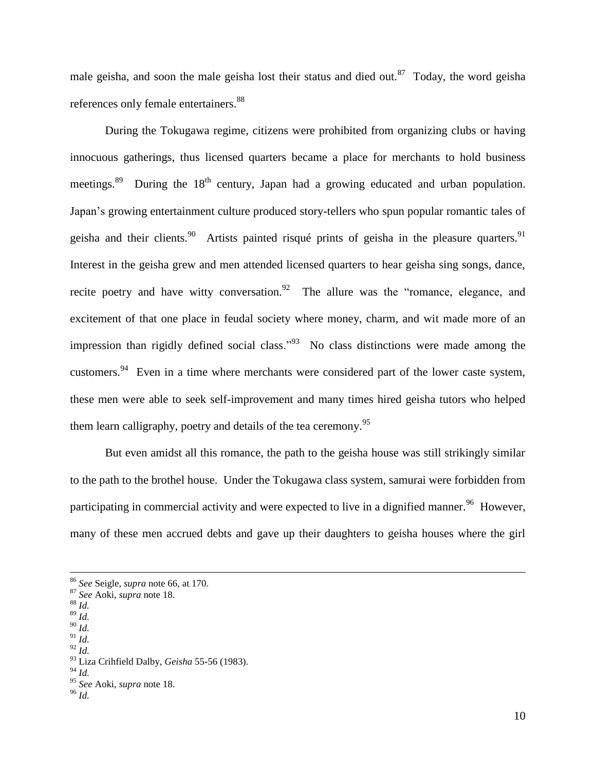male geisha, and soon the male geisha lost their status and died out.<sup>87</sup> Today, the word geisha references only female entertainers.<sup>88</sup>

During the Tokugawa regime, citizens were prohibited from organizing clubs or having innocuous gatherings, thus licensed quarters became a place for merchants to hold business meetings.<sup>89</sup> During the 18<sup>th</sup> century, Japan had a growing educated and urban population. Japan's growing entertainment culture produced story-tellers who spun popular romantic tales of geisha and their clients.<sup>90</sup> Artists painted risqué prints of geisha in the pleasure quarters.<sup>91</sup> Interest in the geisha grew and men attended licensed quarters to hear geisha sing songs, dance, recite poetry and have witty conversation.  $92$  The allure was the "romance, elegance, and excitement of that one place in feudal society where money, charm, and wit made more of an impression than rigidly defined social class.<sup>"93</sup> No class distinctions were made among the customers.<sup>94</sup> Even in a time where merchants were considered part of the lower caste system, these men were able to seek self-improvement and many times hired geisha tutors who helped them learn calligraphy, poetry and details of the tea ceremony.<sup>95</sup>

But even amidst all this romance, the path to the geisha house was still strikingly similar to the path to the brothel house. Under the Tokugawa class system, samurai were forbidden from participating in commercial activity and were expected to live in a dignified manner.<sup>96</sup> However, many of these men accrued debts and gave up their daughters to geisha houses where the girl

<sup>88</sup> *Id.*

 $\overline{a}$ 

- <sup>90</sup> *Id.* <sup>91</sup> *Id.*
- <sup>92</sup> *Id.*

<sup>94</sup> *Id.*

<sup>96</sup> *Id.*

<sup>86</sup> *See* Seigle, *supra* note 66, at 170.

<sup>87</sup> *See* Aoki, *supra* note 18.

<sup>89</sup> *Id.*

<sup>93</sup> Liza Crihfield Dalby, *Geisha* 55-56 (1983).

<sup>95</sup> *See* Aoki, *supra* note 18.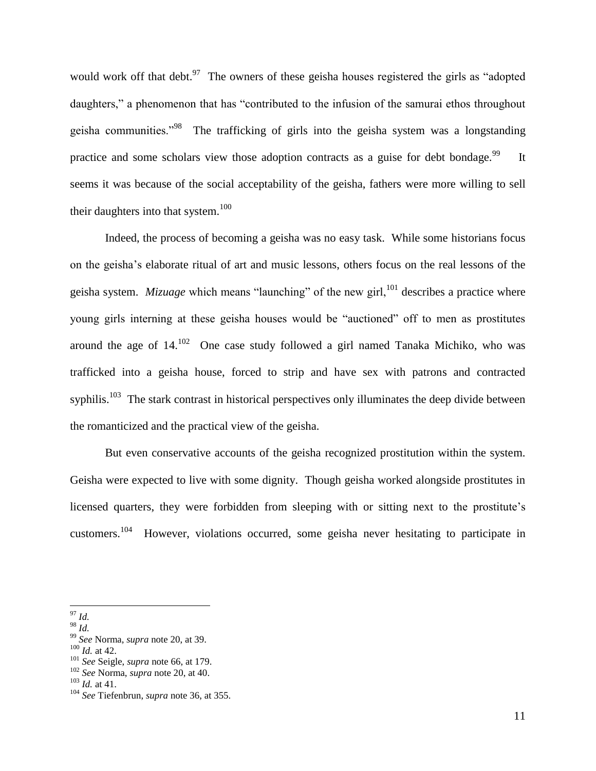would work off that debt. $97$  The owners of these geisha houses registered the girls as "adopted daughters," a phenomenon that has "contributed to the infusion of the samurai ethos throughout geisha communities."<sup>98</sup> The trafficking of girls into the geisha system was a longstanding practice and some scholars view those adoption contracts as a guise for debt bondage.<sup>99</sup> It seems it was because of the social acceptability of the geisha, fathers were more willing to sell their daughters into that system.<sup>100</sup>

Indeed, the process of becoming a geisha was no easy task. While some historians focus on the geisha's elaborate ritual of art and music lessons, others focus on the real lessons of the geisha system. *Mizuage* which means "launching" of the new girl,<sup>101</sup> describes a practice where young girls interning at these geisha houses would be "auctioned" off to men as prostitutes around the age of  $14$ .<sup>102</sup> One case study followed a girl named Tanaka Michiko, who was trafficked into a geisha house, forced to strip and have sex with patrons and contracted syphilis.<sup>103</sup> The stark contrast in historical perspectives only illuminates the deep divide between the romanticized and the practical view of the geisha.

But even conservative accounts of the geisha recognized prostitution within the system. Geisha were expected to live with some dignity. Though geisha worked alongside prostitutes in licensed quarters, they were forbidden from sleeping with or sitting next to the prostitute's customers.<sup>104</sup> However, violations occurred, some geisha never hesitating to participate in

 $\overline{a}$ <sup>97</sup> *Id.*

<sup>98</sup> *Id.*

<sup>99</sup> *See* Norma, *supra* note 20, at 39.

<sup>100</sup> *Id.* at 42.

<sup>101</sup> *See* Seigle, *supra* note 66, at 179.

<sup>102</sup> *See* Norma, *supra* note 20, at 40.

<sup>103</sup> *Id.* at 41.

<sup>104</sup> *See* Tiefenbrun, *supra* note 36, at 355.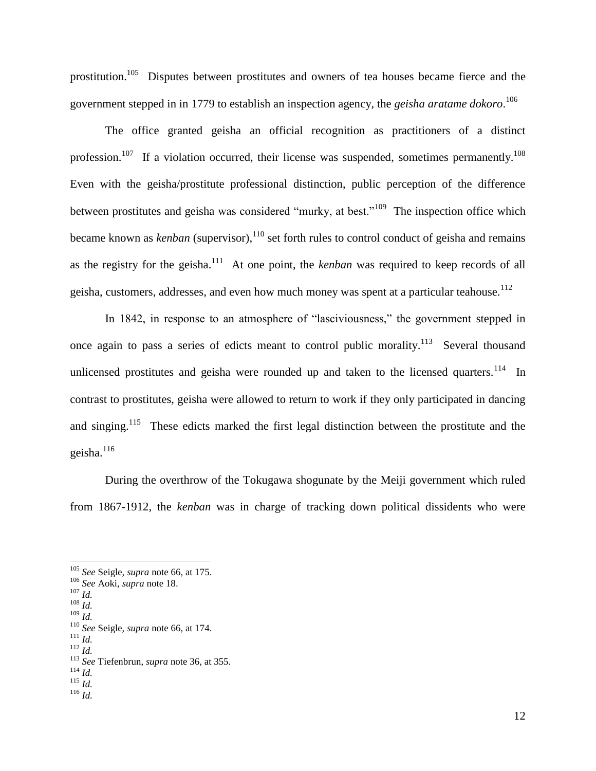prostitution.<sup>105</sup> Disputes between prostitutes and owners of tea houses became fierce and the government stepped in in 1779 to establish an inspection agency, the *geisha aratame dokoro*. 106

The office granted geisha an official recognition as practitioners of a distinct profession.<sup>107</sup> If a violation occurred, their license was suspended, sometimes permanently.<sup>108</sup> Even with the geisha/prostitute professional distinction, public perception of the difference between prostitutes and geisha was considered "murky, at best."<sup>109</sup> The inspection office which became known as *kenban* (supervisor),<sup>110</sup> set forth rules to control conduct of geisha and remains as the registry for the geisha.<sup>111</sup> At one point, the *kenban* was required to keep records of all geisha, customers, addresses, and even how much money was spent at a particular teahouse.<sup>112</sup>

In 1842, in response to an atmosphere of "lasciviousness," the government stepped in once again to pass a series of edicts meant to control public morality.<sup>113</sup> Several thousand unlicensed prostitutes and geisha were rounded up and taken to the licensed quarters.<sup>114</sup> In contrast to prostitutes, geisha were allowed to return to work if they only participated in dancing and singing.<sup>115</sup> These edicts marked the first legal distinction between the prostitute and the geisha.<sup>116</sup>

During the overthrow of the Tokugawa shogunate by the Meiji government which ruled from 1867-1912, the *kenban* was in charge of tracking down political dissidents who were

 $\overline{a}$ 

<sup>112</sup> *Id.*

<sup>105</sup> *See* Seigle, *supra* note 66, at 175.

<sup>106</sup> *See* Aoki, *supra* note 18.

<sup>107</sup> *Id.* <sup>108</sup> *Id.*

<sup>109</sup> *Id.*

<sup>110</sup> *See* Seigle, *supra* note 66, at 174.

<sup>111</sup> *Id.*

<sup>113</sup> *See* Tiefenbrun, *supra* note 36, at 355.

<sup>114</sup> *Id.*

<sup>115</sup> *Id.*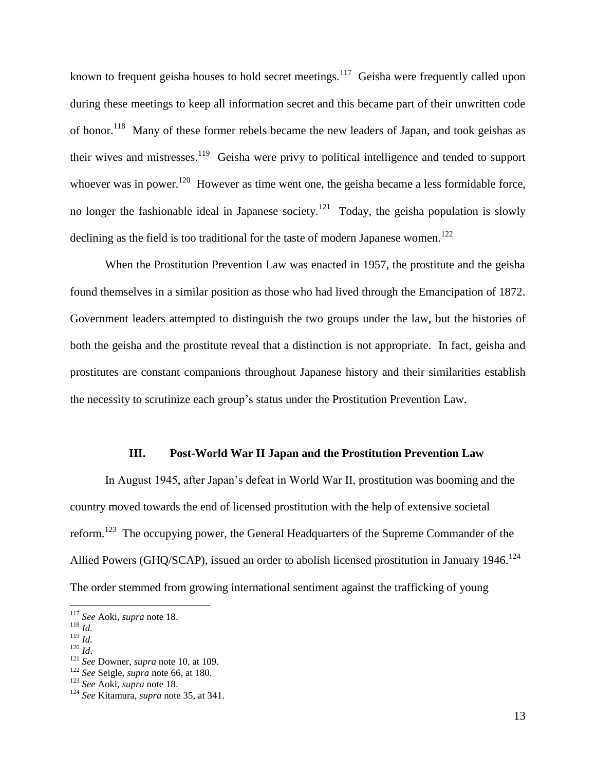known to frequent geisha houses to hold secret meetings.<sup>117</sup> Geisha were frequently called upon during these meetings to keep all information secret and this became part of their unwritten code of honor.<sup>118</sup> Many of these former rebels became the new leaders of Japan, and took geishas as their wives and mistresses.<sup>119</sup> Geisha were privy to political intelligence and tended to support whoever was in power.<sup>120</sup> However as time went one, the geisha became a less formidable force, no longer the fashionable ideal in Japanese society.<sup>121</sup> Today, the geisha population is slowly declining as the field is too traditional for the taste of modern Japanese women.<sup>122</sup>

When the Prostitution Prevention Law was enacted in 1957, the prostitute and the geisha found themselves in a similar position as those who had lived through the Emancipation of 1872. Government leaders attempted to distinguish the two groups under the law, but the histories of both the geisha and the prostitute reveal that a distinction is not appropriate. In fact, geisha and prostitutes are constant companions throughout Japanese history and their similarities establish the necessity to scrutinize each group's status under the Prostitution Prevention Law.

#### **III. Post-World War II Japan and the Prostitution Prevention Law**

In August 1945, after Japan's defeat in World War II, prostitution was booming and the country moved towards the end of licensed prostitution with the help of extensive societal reform.<sup>123</sup> The occupying power, the General Headquarters of the Supreme Commander of the Allied Powers (GHQ/SCAP), issued an order to abolish licensed prostitution in January 1946.<sup>124</sup> The order stemmed from growing international sentiment against the trafficking of young

 $\overline{a}$ 

 $^{119}$  *Id.* 

<sup>117</sup> *See* Aoki, *supra* note 18.

 $118 \overline{1}$ 

<sup>120</sup> *Id*.

<sup>121</sup> *See* Downer, *supra* note 10, at 109.

<sup>122</sup> *See* Seigle, *supra* note 66, at 180.

<sup>123</sup> *See* Aoki, *supra* note 18.

<sup>124</sup> *See* Kitamura, *supra* note 35, at 341.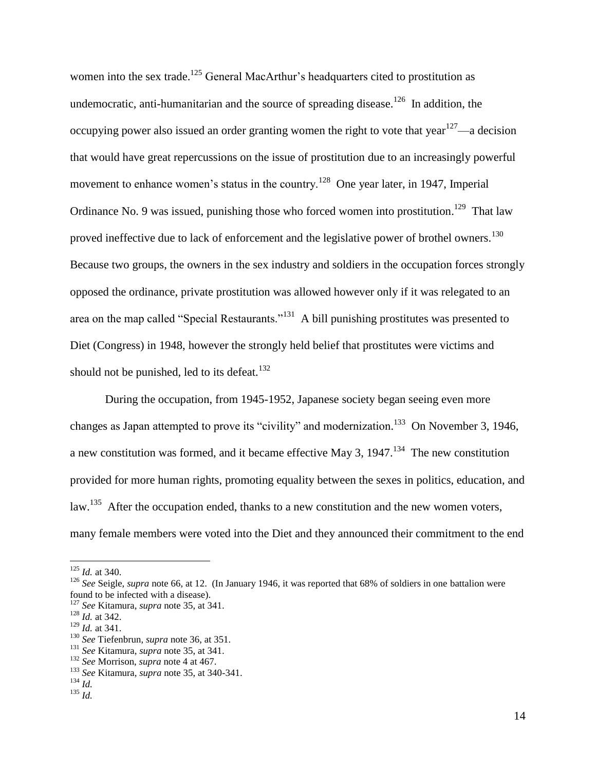women into the sex trade.<sup>125</sup> General MacArthur's headquarters cited to prostitution as undemocratic, anti-humanitarian and the source of spreading disease.<sup>126</sup> In addition, the occupying power also issued an order granting women the right to vote that year  $127$ —a decision that would have great repercussions on the issue of prostitution due to an increasingly powerful movement to enhance women's status in the country.<sup>128</sup> One year later, in 1947, Imperial Ordinance No. 9 was issued, punishing those who forced women into prostitution.<sup>129</sup> That law proved ineffective due to lack of enforcement and the legislative power of brothel owners.<sup>130</sup> Because two groups, the owners in the sex industry and soldiers in the occupation forces strongly opposed the ordinance, private prostitution was allowed however only if it was relegated to an area on the map called "Special Restaurants."<sup>131</sup> A bill punishing prostitutes was presented to Diet (Congress) in 1948, however the strongly held belief that prostitutes were victims and should not be punished, led to its defeat. $132$ 

During the occupation, from 1945-1952, Japanese society began seeing even more changes as Japan attempted to prove its "civility" and modernization.<sup>133</sup> On November 3, 1946, a new constitution was formed, and it became effective May 3,  $1947$ .<sup>134</sup> The new constitution provided for more human rights, promoting equality between the sexes in politics, education, and law.<sup>135</sup> After the occupation ended, thanks to a new constitution and the new women voters, many female members were voted into the Diet and they announced their commitment to the end

<sup>125</sup> *Id.* at 340.

<sup>126</sup> *See* Seigle, *supra* note 66, at 12. (In January 1946, it was reported that 68% of soldiers in one battalion were found to be infected with a disease).

<sup>127</sup> *See* Kitamura, *supra* note 35, at 341.

 $\frac{128}{1}$  *Id.* at 342.

<sup>129</sup> *Id.* at 341.

<sup>130</sup> *See* Tiefenbrun, *supra* note 36, at 351.

<sup>131</sup> *See* Kitamura, *supra* note 35, at 341.

<sup>132</sup> *See* Morrison, *supra* note 4 at 467.

<sup>133</sup> *See* Kitamura, *supra* note 35, at 340-341.

<sup>134</sup> *Id.*

<sup>135</sup> *Id.*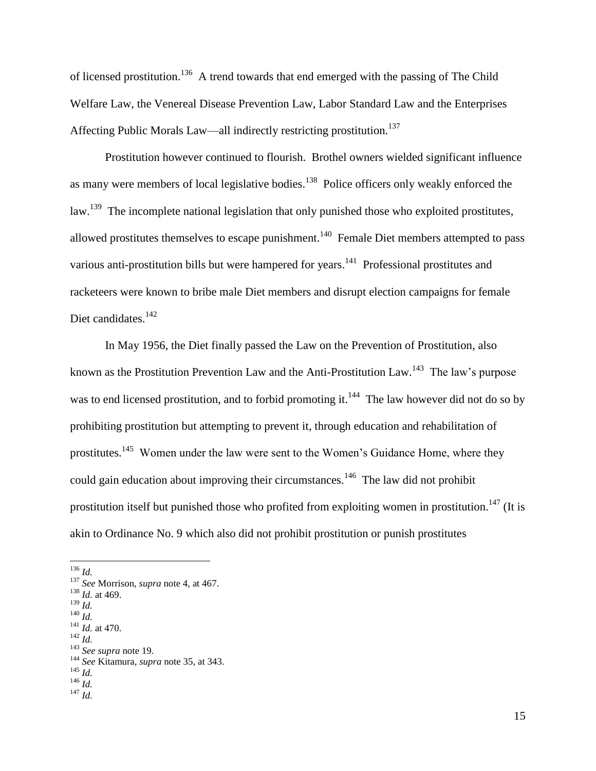of licensed prostitution.<sup>136</sup> A trend towards that end emerged with the passing of The Child Welfare Law, the Venereal Disease Prevention Law, Labor Standard Law and the Enterprises Affecting Public Morals Law—all indirectly restricting prostitution.<sup>137</sup>

Prostitution however continued to flourish. Brothel owners wielded significant influence as many were members of local legislative bodies.<sup>138</sup> Police officers only weakly enforced the law.<sup>139</sup> The incomplete national legislation that only punished those who exploited prostitutes, allowed prostitutes themselves to escape punishment.<sup>140</sup> Female Diet members attempted to pass various anti-prostitution bills but were hampered for years.<sup>141</sup> Professional prostitutes and racketeers were known to bribe male Diet members and disrupt election campaigns for female Diet candidates.<sup>142</sup>

In May 1956, the Diet finally passed the Law on the Prevention of Prostitution, also known as the Prostitution Prevention Law and the Anti-Prostitution Law.<sup>143</sup> The law's purpose was to end licensed prostitution, and to forbid promoting it.<sup>144</sup> The law however did not do so by prohibiting prostitution but attempting to prevent it, through education and rehabilitation of prostitutes.<sup>145</sup> Women under the law were sent to the Women's Guidance Home, where they could gain education about improving their circumstances.<sup>146</sup> The law did not prohibit prostitution itself but punished those who profited from exploiting women in prostitution.<sup>147</sup> (It is akin to Ordinance No. 9 which also did not prohibit prostitution or punish prostitutes

 $\overline{a}$ 

- <sup>139</sup> *Id.* <sup>140</sup> *Id.*
- $\frac{141}{1}$ *Id.* at 470.
- <sup>142</sup> *Id.*

<sup>144</sup> *See* Kitamura, *supra* note 35, at 343.

<sup>146</sup> *Id.*

<sup>136</sup> *Id.*

<sup>137</sup> *See* Morrison, *supra* note 4, at 467.

<sup>138</sup> *Id.* at 469.

<sup>143</sup> *See supra* note 19.

<sup>145</sup> *Id.*

<sup>147</sup> *Id.*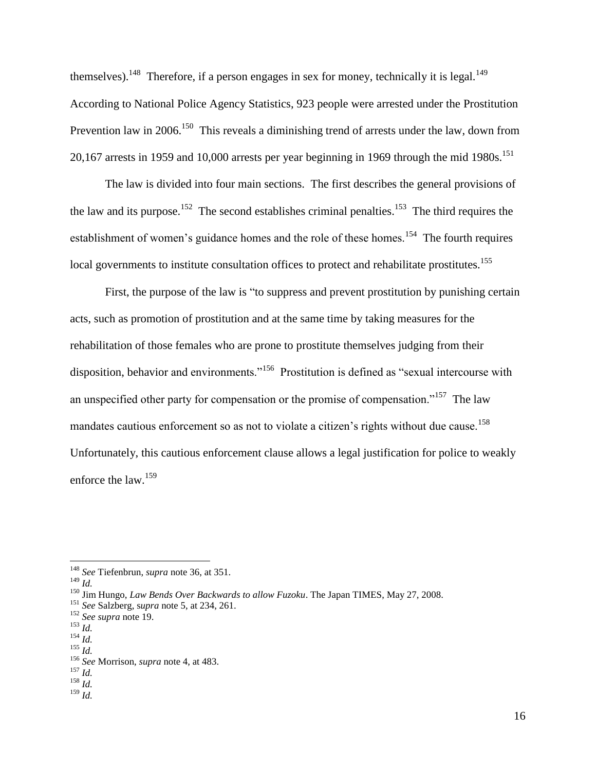themselves).<sup>148</sup> Therefore, if a person engages in sex for money, technically it is legal.<sup>149</sup> According to National Police Agency Statistics, 923 people were arrested under the Prostitution Prevention law in 2006.<sup>150</sup> This reveals a diminishing trend of arrests under the law, down from 20,167 arrests in 1959 and 10,000 arrests per year beginning in 1969 through the mid 1980s.<sup>151</sup>

The law is divided into four main sections. The first describes the general provisions of the law and its purpose.<sup>152</sup> The second establishes criminal penalties.<sup>153</sup> The third requires the establishment of women's guidance homes and the role of these homes.<sup>154</sup> The fourth requires local governments to institute consultation offices to protect and rehabilitate prostitutes.<sup>155</sup>

First, the purpose of the law is "to suppress and prevent prostitution by punishing certain acts, such as promotion of prostitution and at the same time by taking measures for the rehabilitation of those females who are prone to prostitute themselves judging from their disposition, behavior and environments."<sup>156</sup> Prostitution is defined as "sexual intercourse with an unspecified other party for compensation or the promise of compensation."<sup>157</sup> The law mandates cautious enforcement so as not to violate a citizen's rights without due cause.<sup>158</sup> Unfortunately, this cautious enforcement clause allows a legal justification for police to weakly enforce the law.<sup>159</sup>

 $\overline{a}$ 

 $154$  *Id.* <sup>155</sup> *Id.*

<sup>148</sup> *See* Tiefenbrun, *supra* note 36, at 351.

<sup>149</sup> *Id.*

<sup>150</sup> Jim Hungo, *Law Bends Over Backwards to allow Fuzoku*. The Japan TIMES, May 27, 2008.

<sup>151</sup> *See* Salzberg, s*upra* note 5, at 234, 261.

<sup>152</sup> *See supra* note 19.

<sup>153</sup> *Id.*

<sup>156</sup> *See* Morrison, *supra* note 4, at 483.

<sup>157</sup> *Id.*

<sup>158</sup> *Id.* <sup>159</sup> *Id.*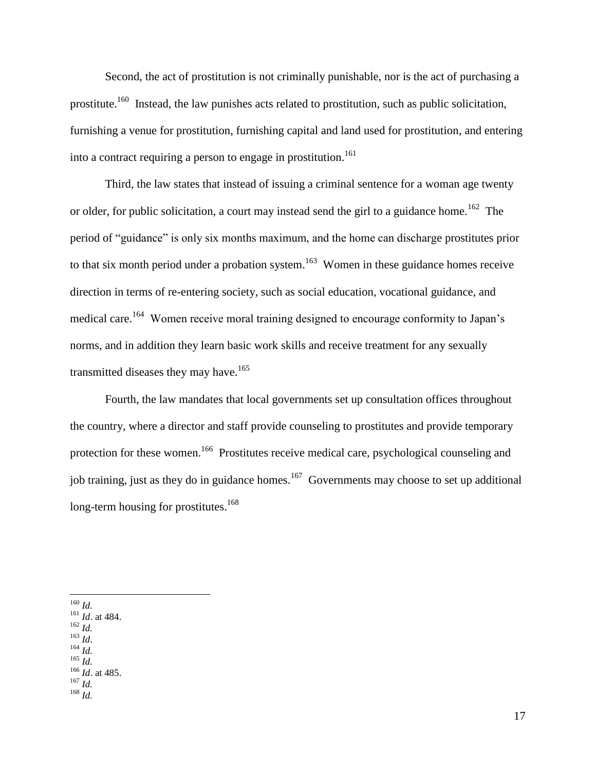Second, the act of prostitution is not criminally punishable, nor is the act of purchasing a prostitute.<sup>160</sup> Instead, the law punishes acts related to prostitution, such as public solicitation, furnishing a venue for prostitution, furnishing capital and land used for prostitution, and entering into a contract requiring a person to engage in prostitution.<sup>161</sup>

Third, the law states that instead of issuing a criminal sentence for a woman age twenty or older, for public solicitation, a court may instead send the girl to a guidance home.<sup>162</sup> The period of "guidance" is only six months maximum, and the home can discharge prostitutes prior to that six month period under a probation system.<sup>163</sup> Women in these guidance homes receive direction in terms of re-entering society, such as social education, vocational guidance, and medical care.<sup>164</sup> Women receive moral training designed to encourage conformity to Japan's norms, and in addition they learn basic work skills and receive treatment for any sexually transmitted diseases they may have.<sup>165</sup>

Fourth, the law mandates that local governments set up consultation offices throughout the country, where a director and staff provide counseling to prostitutes and provide temporary protection for these women.<sup>166</sup> Prostitutes receive medical care, psychological counseling and job training, just as they do in guidance homes.<sup>167</sup> Governments may choose to set up additional long-term housing for prostitutes.<sup>168</sup>

 $\overline{a}$ <sup>160</sup> *Id.*

- <sup>162</sup> *Id.*
- <sup>163</sup> *Id*. <sup>164</sup> *Id.*
- <sup>165</sup> *Id.*
- <sup>166</sup> *Id*. at 485.

<sup>161</sup> *Id*. at 484.

<sup>167</sup> *Id.* <sup>168</sup> *Id.*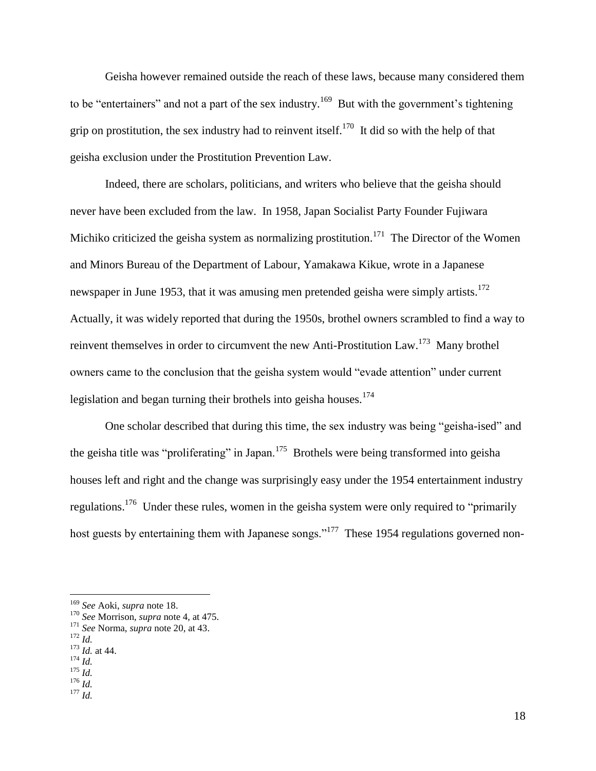Geisha however remained outside the reach of these laws, because many considered them to be "entertainers" and not a part of the sex industry.<sup>169</sup> But with the government's tightening grip on prostitution, the sex industry had to reinvent itself.<sup>170</sup> It did so with the help of that geisha exclusion under the Prostitution Prevention Law.

Indeed, there are scholars, politicians, and writers who believe that the geisha should never have been excluded from the law. In 1958, Japan Socialist Party Founder Fujiwara Michiko criticized the geisha system as normalizing prostitution.<sup>171</sup> The Director of the Women and Minors Bureau of the Department of Labour, Yamakawa Kikue, wrote in a Japanese newspaper in June 1953, that it was amusing men pretended geisha were simply artists.<sup>172</sup> Actually, it was widely reported that during the 1950s, brothel owners scrambled to find a way to reinvent themselves in order to circumvent the new Anti-Prostitution Law.<sup>173</sup> Many brothel owners came to the conclusion that the geisha system would "evade attention" under current legislation and began turning their brothels into geisha houses.<sup>174</sup>

One scholar described that during this time, the sex industry was being "geisha-ised" and the geisha title was "proliferating" in Japan.<sup>175</sup> Brothels were being transformed into geisha houses left and right and the change was surprisingly easy under the 1954 entertainment industry regulations.<sup>176</sup> Under these rules, women in the geisha system were only required to "primarily" host guests by entertaining them with Japanese songs."<sup>177</sup> These 1954 regulations governed non-

<sup>169</sup> *See* Aoki, *supra* note 18.

<sup>170</sup> *See* Morrison, *supra* note 4, at 475.

<sup>171</sup> *See* Norma, *supra* note 20, at 43.

<sup>172</sup> *Id.*

<sup>173</sup> *Id.* at 44.

<sup>174</sup> *Id.* <sup>175</sup> *Id.*

<sup>176</sup> *Id.*

<sup>177</sup> *Id.*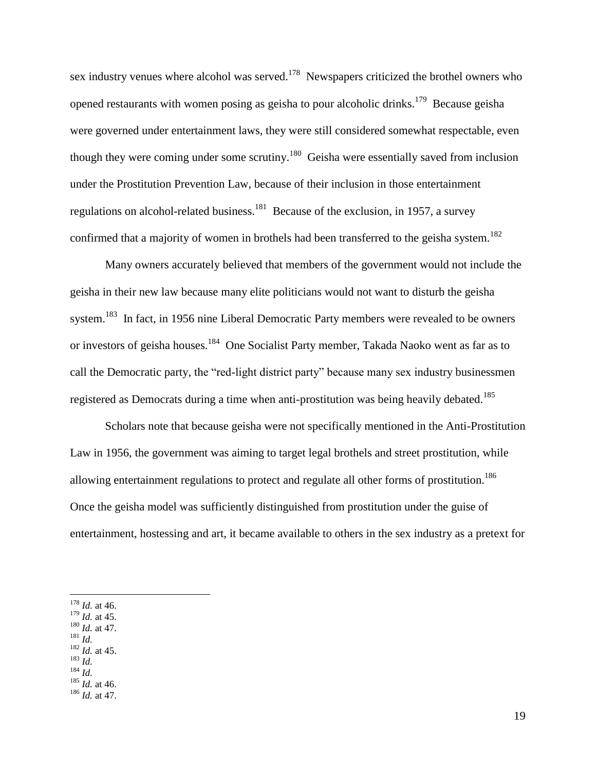sex industry venues where alcohol was served.<sup>178</sup> Newspapers criticized the brothel owners who opened restaurants with women posing as geisha to pour alcoholic drinks.<sup>179</sup> Because geisha were governed under entertainment laws, they were still considered somewhat respectable, even though they were coming under some scrutiny.<sup>180</sup> Geisha were essentially saved from inclusion under the Prostitution Prevention Law, because of their inclusion in those entertainment regulations on alcohol-related business.  $^{181}$  Because of the exclusion, in 1957, a survey confirmed that a majority of women in brothels had been transferred to the geisha system.<sup>182</sup>

Many owners accurately believed that members of the government would not include the geisha in their new law because many elite politicians would not want to disturb the geisha system.<sup>183</sup> In fact, in 1956 nine Liberal Democratic Party members were revealed to be owners or investors of geisha houses.<sup>184</sup> One Socialist Party member, Takada Naoko went as far as to call the Democratic party, the "red-light district party" because many sex industry businessmen registered as Democrats during a time when anti-prostitution was being heavily debated.<sup>185</sup>

Scholars note that because geisha were not specifically mentioned in the Anti-Prostitution Law in 1956, the government was aiming to target legal brothels and street prostitution, while allowing entertainment regulations to protect and regulate all other forms of prostitution.<sup>186</sup> Once the geisha model was sufficiently distinguished from prostitution under the guise of entertainment, hostessing and art, it became available to others in the sex industry as a pretext for

 $\overline{a}$ 

- <sup>181</sup> *Id.* <sup>182</sup> *Id.* at 45.
- <sup>183</sup> *Id.*
- <sup>184</sup> *Id.*

<sup>185</sup> *Id.* at 46.

<sup>186</sup> *Id.* at 47.

<sup>178</sup> *Id.* at 46.

 $179$  *Id.* at 45.

<sup>180</sup> *Id.* at 47.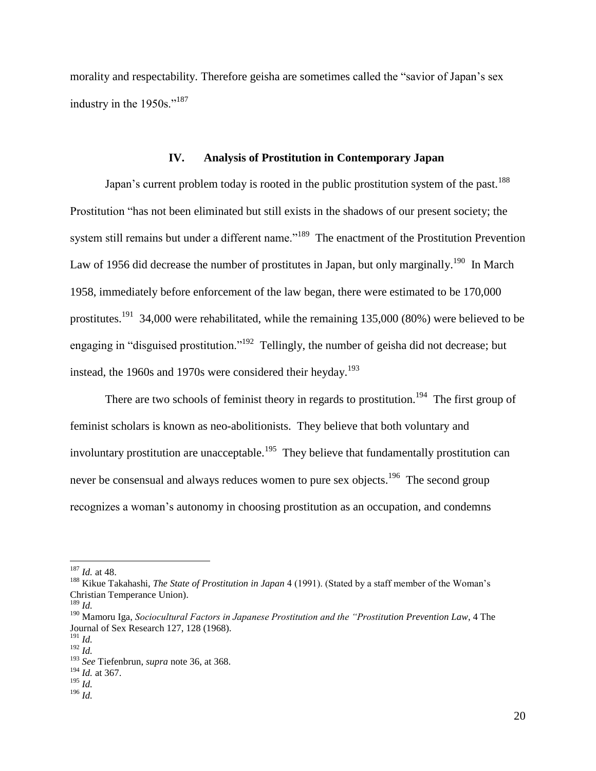morality and respectability. Therefore geisha are sometimes called the "savior of Japan's sex industry in the 1950s."<sup>187</sup>

#### **IV. Analysis of Prostitution in Contemporary Japan**

Japan's current problem today is rooted in the public prostitution system of the past.<sup>188</sup> Prostitution "has not been eliminated but still exists in the shadows of our present society; the system still remains but under a different name."<sup>189</sup> The enactment of the Prostitution Prevention Law of 1956 did decrease the number of prostitutes in Japan, but only marginally.<sup>190</sup> In March 1958, immediately before enforcement of the law began, there were estimated to be 170,000 prostitutes.<sup>191</sup> 34,000 were rehabilitated, while the remaining 135,000 (80%) were believed to be engaging in "disguised prostitution."<sup>192</sup> Tellingly, the number of geisha did not decrease; but instead, the 1960s and 1970s were considered their heyday.<sup>193</sup>

There are two schools of feminist theory in regards to prostitution.<sup>194</sup> The first group of feminist scholars is known as neo-abolitionists. They believe that both voluntary and involuntary prostitution are unacceptable.<sup>195</sup> They believe that fundamentally prostitution can never be consensual and always reduces women to pure sex objects.<sup>196</sup> The second group recognizes a woman's autonomy in choosing prostitution as an occupation, and condemns

<sup>187</sup> *Id.* at 48.

<sup>188</sup> Kikue Takahashi, *The State of Prostitution in Japan* 4 (1991). (Stated by a staff member of the Woman's Christian Temperance Union).

<sup>189</sup> *Id.*

<sup>190</sup> Mamoru Iga, *Sociocultural Factors in Japanese Prostitution and the "Prostitution Prevention Law*, 4 The Journal of Sex Research 127, 128 (1968).

<sup>191</sup> *Id.*

 $^{192}$  *Id*.

<sup>193</sup> *See* Tiefenbrun, *supra* note 36, at 368.

<sup>194</sup> *Id.* at 367. <sup>195</sup> *Id.*

<sup>196</sup> *Id.*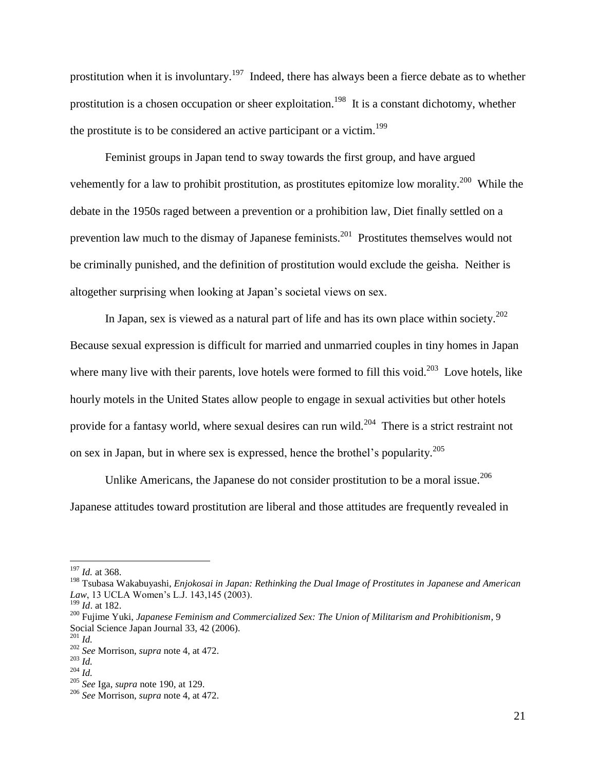prostitution when it is involuntary.<sup>197</sup> Indeed, there has always been a fierce debate as to whether prostitution is a chosen occupation or sheer exploitation.<sup>198</sup> It is a constant dichotomy, whether the prostitute is to be considered an active participant or a victim.<sup>199</sup>

Feminist groups in Japan tend to sway towards the first group, and have argued vehemently for a law to prohibit prostitution, as prostitutes epitomize low morality.<sup>200</sup> While the debate in the 1950s raged between a prevention or a prohibition law, Diet finally settled on a prevention law much to the dismay of Japanese feminists.<sup>201</sup> Prostitutes themselves would not be criminally punished, and the definition of prostitution would exclude the geisha. Neither is altogether surprising when looking at Japan's societal views on sex.

In Japan, sex is viewed as a natural part of life and has its own place within society.<sup>202</sup> Because sexual expression is difficult for married and unmarried couples in tiny homes in Japan where many live with their parents, love hotels were formed to fill this void.<sup>203</sup> Love hotels, like hourly motels in the United States allow people to engage in sexual activities but other hotels provide for a fantasy world, where sexual desires can run wild.<sup>204</sup> There is a strict restraint not on sex in Japan, but in where sex is expressed, hence the brothel's popularity. 205

Unlike Americans, the Japanese do not consider prostitution to be a moral issue.<sup>206</sup> Japanese attitudes toward prostitution are liberal and those attitudes are frequently revealed in

<sup>197</sup> *Id.* at 368.

<sup>198</sup> Tsubasa Wakabuyashi, *Enjokosai in Japan: Rethinking the Dual Image of Prostitutes in Japanese and American Law*, 13 UCLA Women's L.J. 143,145 (2003).

<sup>199</sup> *Id*. at 182.

<sup>200</sup> Fujime Yuki, *Japanese Feminism and Commercialized Sex: The Union of Militarism and Prohibitionism*, 9 Social Science Japan Journal 33, 42 (2006).

<sup>201</sup> *Id.*

<sup>202</sup> *See* Morrison, *supra* note 4, at 472.

<sup>203</sup> *Id.*

<sup>204</sup> *Id.*

<sup>205</sup> *See* Iga, *supra* note 190, at 129.

<sup>206</sup> *See* Morrison, *supra* note 4, at 472.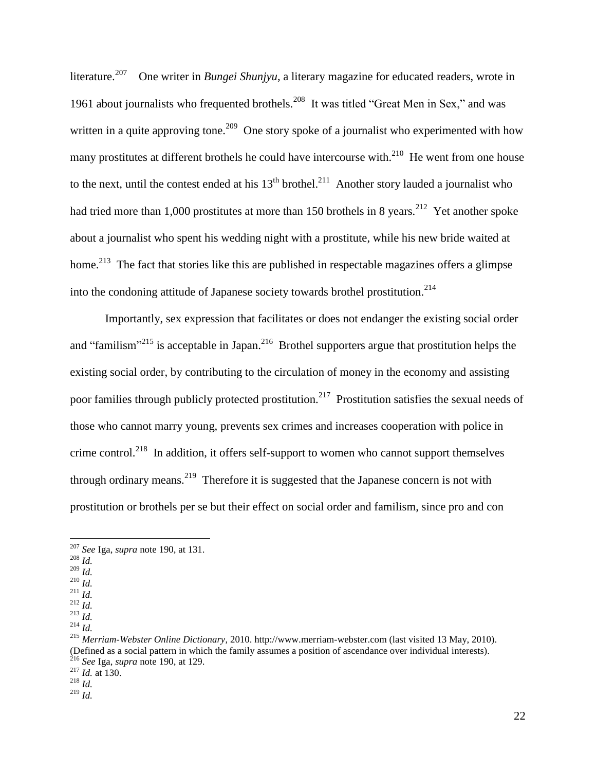literature.<sup>207</sup> One writer in *Bungei Shunjyu*, a literary magazine for educated readers, wrote in 1961 about journalists who frequented brothels.<sup>208</sup> It was titled "Great Men in Sex," and was written in a quite approving tone.<sup>209</sup> One story spoke of a journalist who experimented with how many prostitutes at different brothels he could have intercourse with. $^{210}$  He went from one house to the next, until the contest ended at his  $13<sup>th</sup>$  brothel.<sup>211</sup> Another story lauded a journalist who had tried more than 1,000 prostitutes at more than 150 brothels in 8 years.<sup>212</sup> Yet another spoke about a journalist who spent his wedding night with a prostitute, while his new bride waited at home.<sup>213</sup> The fact that stories like this are published in respectable magazines offers a glimpse into the condoning attitude of Japanese society towards brothel prostitution.<sup>214</sup>

Importantly, sex expression that facilitates or does not endanger the existing social order and "familism"<sup>215</sup> is acceptable in Japan.<sup>216</sup> Brothel supporters argue that prostitution helps the existing social order, by contributing to the circulation of money in the economy and assisting poor families through publicly protected prostitution.<sup>217</sup> Prostitution satisfies the sexual needs of those who cannot marry young, prevents sex crimes and increases cooperation with police in crime control.<sup>218</sup> In addition, it offers self-support to women who cannot support themselves through ordinary means.<sup>219</sup> Therefore it is suggested that the Japanese concern is not with prostitution or brothels per se but their effect on social order and familism, since pro and con

<sup>208</sup> *Id.*

 $\overline{a}$ 

- <sup>209</sup> *Id.*
- <sup>210</sup> *Id.* <sup>211</sup> *Id.*
- $^{212}$  *Id.*

<sup>214</sup> *Id.*

<sup>207</sup> *See* Iga, *supra* note 190, at 131.

<sup>213</sup> *Id.*

<sup>215</sup> *Merriam-Webster Online Dictionary*, 2010. http://www.merriam-webster.com (last visited 13 May, 2010). (Defined as a social pattern in which the family assumes a position of ascendance over individual interests). <sup>216</sup> *See* Iga, *supra* note 190, at 129.

<sup>217</sup> *Id.* at 130.

<sup>218</sup> *Id.*

<sup>219</sup> *Id.*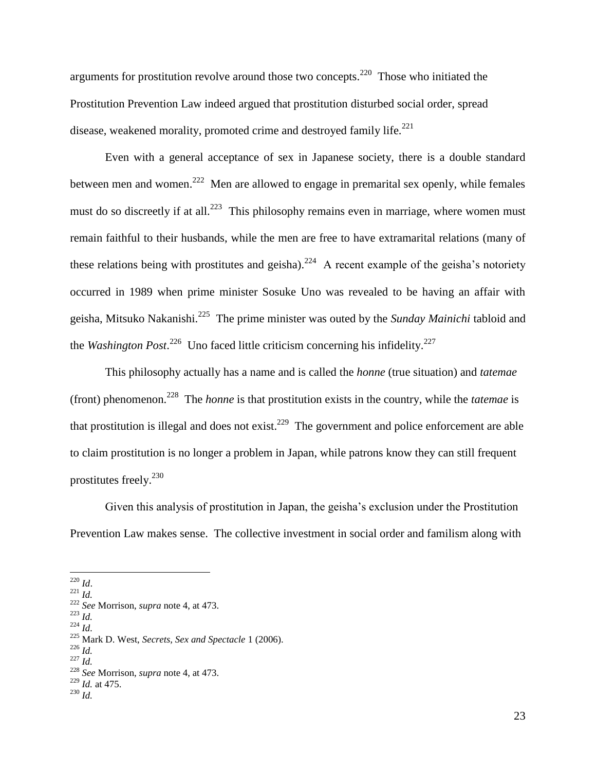arguments for prostitution revolve around those two concepts.<sup>220</sup> Those who initiated the Prostitution Prevention Law indeed argued that prostitution disturbed social order, spread disease, weakened morality, promoted crime and destroyed family life.<sup>221</sup>

Even with a general acceptance of sex in Japanese society, there is a double standard between men and women.<sup>222</sup> Men are allowed to engage in premarital sex openly, while females must do so discreetly if at all.<sup>223</sup> This philosophy remains even in marriage, where women must remain faithful to their husbands, while the men are free to have extramarital relations (many of these relations being with prostitutes and geisha).<sup>224</sup> A recent example of the geisha's notoriety occurred in 1989 when prime minister Sosuke Uno was revealed to be having an affair with geisha, Mitsuko Nakanishi.<sup>225</sup> The prime minister was outed by the *Sunday Mainichi* tabloid and the *Washington Post*.<sup>226</sup> Uno faced little criticism concerning his infidelity.<sup>227</sup>

This philosophy actually has a name and is called the *honne* (true situation) and *tatemae*  (front) phenomenon.<sup>228</sup> The *honne* is that prostitution exists in the country, while the *tatemae* is that prostitution is illegal and does not exist.<sup>229</sup> The government and police enforcement are able to claim prostitution is no longer a problem in Japan, while patrons know they can still frequent prostitutes freely.<sup>230</sup>

Given this analysis of prostitution in Japan, the geisha's exclusion under the Prostitution Prevention Law makes sense. The collective investment in social order and familism along with

<sup>220</sup> *Id*.

 $\overline{a}$ 

<sup>226</sup> *Id.* <sup>227</sup> *Id.*

<sup>221</sup> *Id.*

<sup>222</sup> *See* Morrison, *supra* note 4, at 473.

<sup>223</sup> *Id.*

<sup>224</sup> *Id.*

<sup>225</sup> Mark D. West, *Secrets, Sex and Spectacle* 1 (2006).

<sup>228</sup> *See* Morrison, *supra* note 4, at 473.

<sup>229</sup> *Id.* at 475.

<sup>230</sup> *Id.*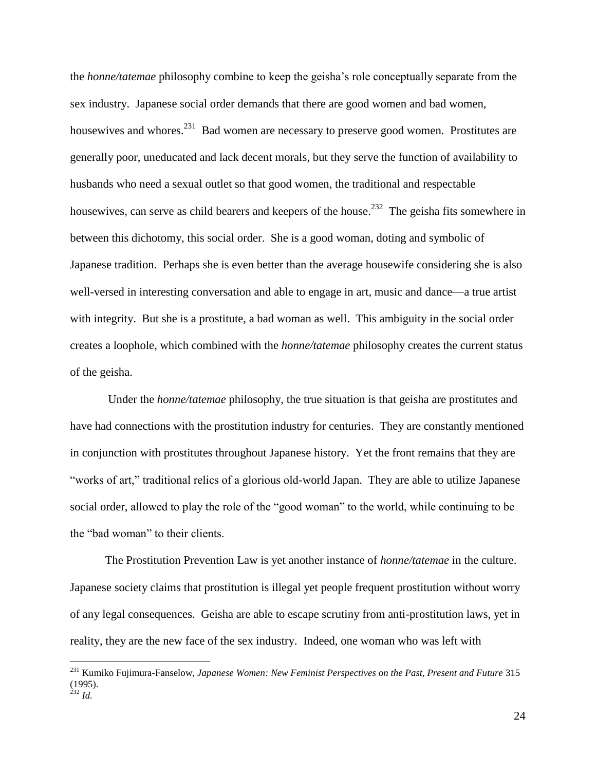the *honne/tatemae* philosophy combine to keep the geisha's role conceptually separate from the sex industry. Japanese social order demands that there are good women and bad women, housewives and whores.<sup>231</sup> Bad women are necessary to preserve good women. Prostitutes are generally poor, uneducated and lack decent morals, but they serve the function of availability to husbands who need a sexual outlet so that good women, the traditional and respectable housewives, can serve as child bearers and keepers of the house.<sup>232</sup> The geisha fits somewhere in between this dichotomy, this social order. She is a good woman, doting and symbolic of Japanese tradition. Perhaps she is even better than the average housewife considering she is also well-versed in interesting conversation and able to engage in art, music and dance—a true artist with integrity. But she is a prostitute, a bad woman as well. This ambiguity in the social order creates a loophole, which combined with the *honne/tatemae* philosophy creates the current status of the geisha.

Under the *honne/tatemae* philosophy, the true situation is that geisha are prostitutes and have had connections with the prostitution industry for centuries. They are constantly mentioned in conjunction with prostitutes throughout Japanese history. Yet the front remains that they are "works of art," traditional relics of a glorious old-world Japan. They are able to utilize Japanese social order, allowed to play the role of the "good woman" to the world, while continuing to be the "bad woman" to their clients.

The Prostitution Prevention Law is yet another instance of *honne/tatemae* in the culture. Japanese society claims that prostitution is illegal yet people frequent prostitution without worry of any legal consequences. Geisha are able to escape scrutiny from anti-prostitution laws, yet in reality, they are the new face of the sex industry. Indeed, one woman who was left with

<sup>231</sup> Kumiko Fujimura-Fanselow, *Japanese Women: New Feminist Perspectives on the Past, Present and Future* 315 (1995). <sup>232</sup> *Id.*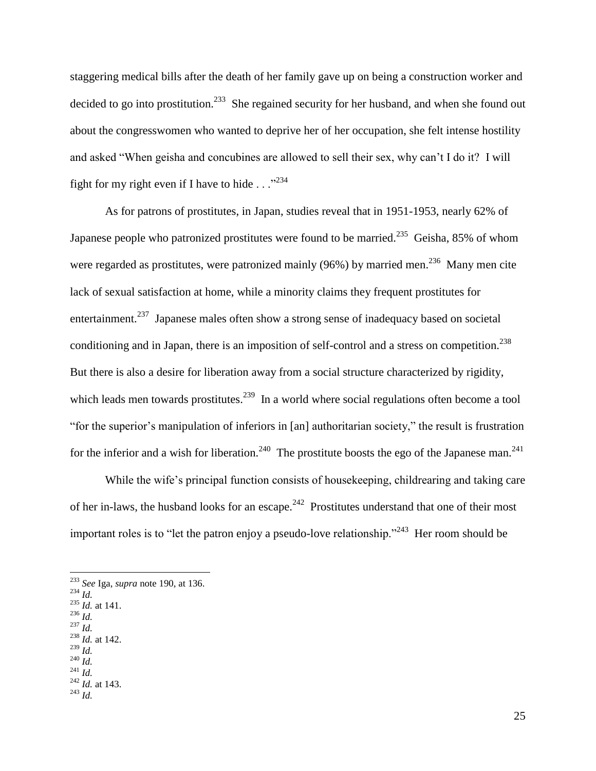staggering medical bills after the death of her family gave up on being a construction worker and decided to go into prostitution.<sup>233</sup> She regained security for her husband, and when she found out about the congresswomen who wanted to deprive her of her occupation, she felt intense hostility and asked "When geisha and concubines are allowed to sell their sex, why can't I do it? I will fight for my right even if I have to hide  $\ldots$ <sup>234</sup>

As for patrons of prostitutes, in Japan, studies reveal that in 1951-1953, nearly 62% of Japanese people who patronized prostitutes were found to be married.<sup>235</sup> Geisha, 85% of whom were regarded as prostitutes, were patronized mainly (96%) by married men.<sup>236</sup> Many men cite lack of sexual satisfaction at home, while a minority claims they frequent prostitutes for entertainment.<sup>237</sup> Japanese males often show a strong sense of inadequacy based on societal conditioning and in Japan, there is an imposition of self-control and a stress on competition. $^{238}$ But there is also a desire for liberation away from a social structure characterized by rigidity, which leads men towards prostitutes.<sup>239</sup> In a world where social regulations often become a tool "for the superior's manipulation of inferiors in [an] authoritarian society," the result is frustration for the inferior and a wish for liberation.<sup>240</sup> The prostitute boosts the ego of the Japanese man.<sup>241</sup>

While the wife's principal function consists of housekeeping, childrearing and taking care of her in-laws, the husband looks for an escape.<sup>242</sup> Prostitutes understand that one of their most important roles is to "let the patron enjoy a pseudo-love relationship."<sup>243</sup> Her room should be

 $\overline{a}$ 

- $^{235}$  *Id.* at 141.  $^{14}$ <sup>236</sup> *Id.*
- <sup>237</sup> *Id.*
- <sup>238</sup> *Id.* at 142.
- <sup>239</sup> *Id.*
- <sup>240</sup> *Id.*

<sup>243</sup> *Id.*

<sup>233</sup> *See* Iga, *supra* note 190, at 136.

<sup>234</sup> *Id.*

<sup>241</sup> *Id.*  $\int_{242}^{242}$  *Id.* at 143.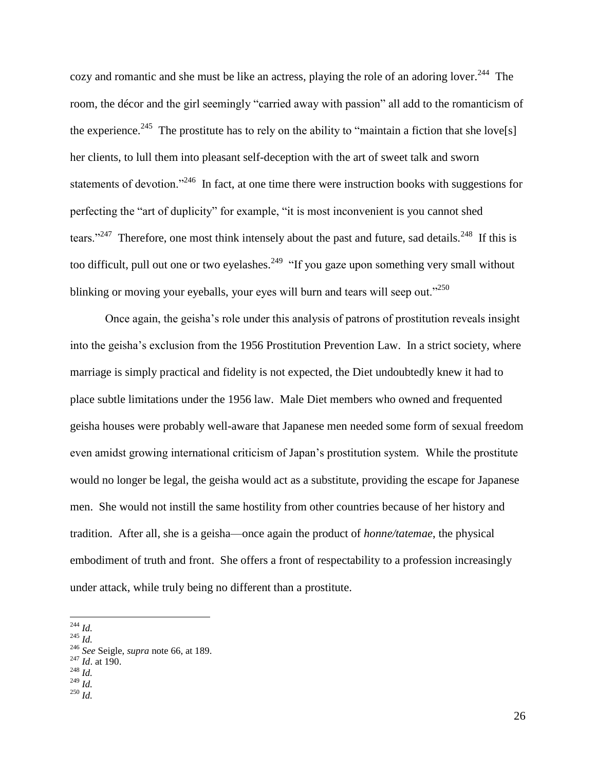cozy and romantic and she must be like an actress, playing the role of an adoring lover.<sup>244</sup> The room, the décor and the girl seemingly "carried away with passion" all add to the romanticism of the experience.<sup>245</sup> The prostitute has to rely on the ability to "maintain a fiction that she love[s] her clients, to lull them into pleasant self-deception with the art of sweet talk and sworn statements of devotion."<sup>246</sup> In fact, at one time there were instruction books with suggestions for perfecting the "art of duplicity" for example, "it is most inconvenient is you cannot shed tears."<sup>247</sup> Therefore, one most think intensely about the past and future, sad details.<sup>248</sup> If this is too difficult, pull out one or two eyelashes.<sup>249</sup> "If you gaze upon something very small without blinking or moving your eyeballs, your eyes will burn and tears will seep out."<sup>250</sup>

Once again, the geisha's role under this analysis of patrons of prostitution reveals insight into the geisha's exclusion from the 1956 Prostitution Prevention Law. In a strict society, where marriage is simply practical and fidelity is not expected, the Diet undoubtedly knew it had to place subtle limitations under the 1956 law. Male Diet members who owned and frequented geisha houses were probably well-aware that Japanese men needed some form of sexual freedom even amidst growing international criticism of Japan's prostitution system. While the prostitute would no longer be legal, the geisha would act as a substitute, providing the escape for Japanese men. She would not instill the same hostility from other countries because of her history and tradition. After all, she is a geisha—once again the product of *honne/tatemae*, the physical embodiment of truth and front. She offers a front of respectability to a profession increasingly under attack, while truly being no different than a prostitute.

<sup>244</sup> *Id.*

 $^{245}$  *Id.* 

<sup>246</sup> *See* Seigle, *supra* note 66, at 189.

<sup>247</sup> *Id*. at 190.

<sup>248</sup> *Id.*

 $^{249}$  *Id.* 

<sup>250</sup> *Id.*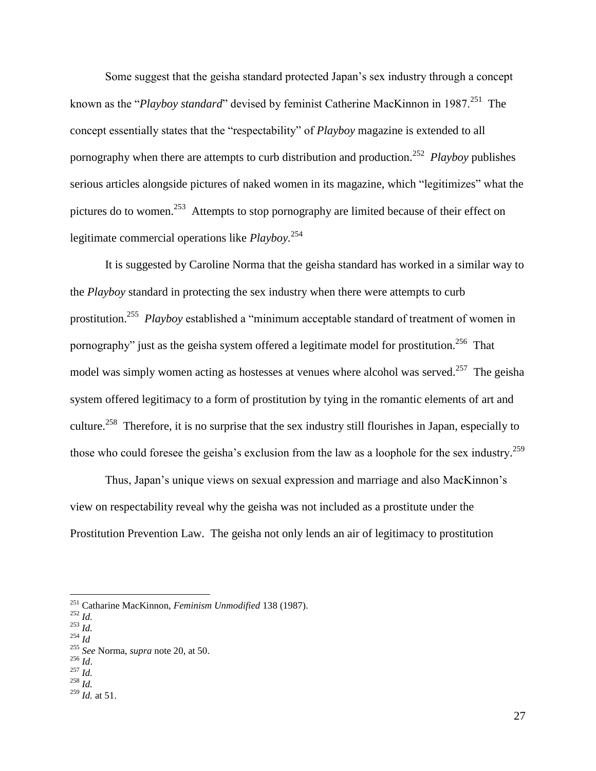Some suggest that the geisha standard protected Japan's sex industry through a concept known as the "*Playboy standard*" devised by feminist Catherine MacKinnon in 1987.<sup>251</sup> The concept essentially states that the "respectability" of *Playboy* magazine is extended to all pornography when there are attempts to curb distribution and production.<sup>252</sup> *Playboy* publishes serious articles alongside pictures of naked women in its magazine, which "legitimizes" what the pictures do to women.<sup>253</sup> Attempts to stop pornography are limited because of their effect on legitimate commercial operations like *Playboy.*<sup>254</sup>

It is suggested by Caroline Norma that the geisha standard has worked in a similar way to the *Playboy* standard in protecting the sex industry when there were attempts to curb prostitution.<sup>255</sup> *Playboy* established a "minimum acceptable standard of treatment of women in pornography" just as the geisha system offered a legitimate model for prostitution.<sup>256</sup> That model was simply women acting as hostesses at venues where alcohol was served.<sup>257</sup> The geisha system offered legitimacy to a form of prostitution by tying in the romantic elements of art and culture.<sup>258</sup> Therefore, it is no surprise that the sex industry still flourishes in Japan, especially to those who could foresee the geisha's exclusion from the law as a loophole for the sex industry.<sup>259</sup>

Thus, Japan's unique views on sexual expression and marriage and also MacKinnon's view on respectability reveal why the geisha was not included as a prostitute under the Prostitution Prevention Law. The geisha not only lends an air of legitimacy to prostitution

 $\overline{a}$ 

 $\frac{1}{258}$  *Id.* 

<sup>251</sup> Catharine MacKinnon, *Feminism Unmodified* 138 (1987).

<sup>252</sup> *Id.*

<sup>253</sup> *Id.* <sup>254</sup> *Id*

<sup>255</sup> *See* Norma, *supra* note 20, at 50.

<sup>256</sup> *Id*.

 $^{257}$  *Id.* 

<sup>259</sup> *Id.* at 51.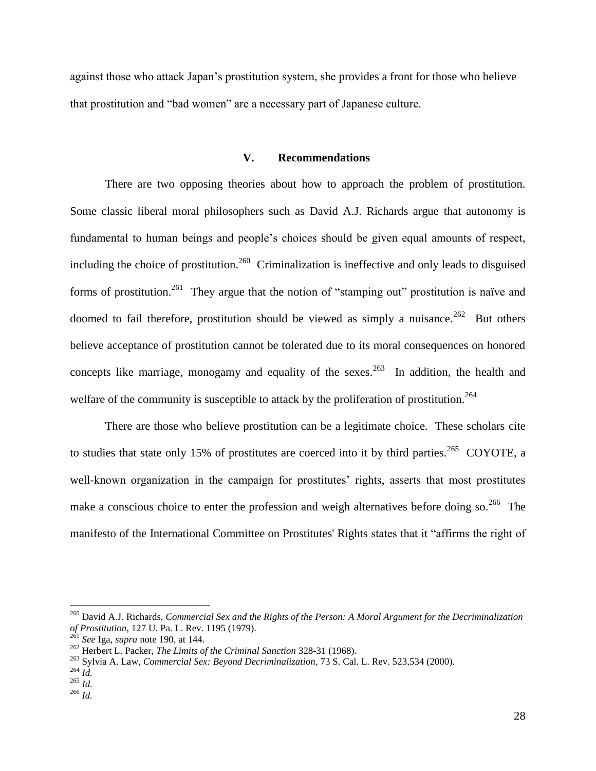against those who attack Japan's prostitution system, she provides a front for those who believe that prostitution and "bad women" are a necessary part of Japanese culture.

#### **V. Recommendations**

There are two opposing theories about how to approach the problem of prostitution. Some classic liberal moral philosophers such as David A.J. Richards argue that autonomy is fundamental to human beings and people's choices should be given equal amounts of respect, including the choice of prostitution.<sup>260</sup> Criminalization is ineffective and only leads to disguised forms of prostitution.<sup>261</sup> They argue that the notion of "stamping out" prostitution is naïve and doomed to fail therefore, prostitution should be viewed as simply a nuisance.<sup>262</sup> But others believe acceptance of prostitution cannot be tolerated due to its moral consequences on honored concepts like marriage, monogamy and equality of the sexes.  $263$  In addition, the health and welfare of the community is susceptible to attack by the proliferation of prostitution.<sup>264</sup>

There are those who believe prostitution can be a legitimate choice. These scholars cite to studies that state only 15% of prostitutes are coerced into it by third parties.<sup>265</sup> COYOTE, a well-known organization in the campaign for prostitutes' rights, asserts that most prostitutes make a conscious choice to enter the profession and weigh alternatives before doing so.  $266$  The manifesto of the International Committee on Prostitutes' Rights states that it "affirms the right of

<sup>260</sup> David A.J. Richards, *Commercial Sex and the Rights of the Person: A Moral Argument for the Decriminalization of Prostitution*, 127 U. Pa. L. Rev. 1195 (1979).<br><sup>261</sup> See Ly.

<sup>261</sup> *See* Iga, *supra* note 190, at 144.

<sup>262</sup> Herbert L. Packer, *The Limits of the Criminal Sanction* 328-31 (1968).

<sup>263</sup> Sylvia A. Law, *Commercial Sex: Beyond Decriminalization*, 73 S. Cal. L. Rev. 523,534 (2000).

<sup>264</sup> *Id.*

 $265$   $\overline{Id}$ .

<sup>266</sup> *Id.*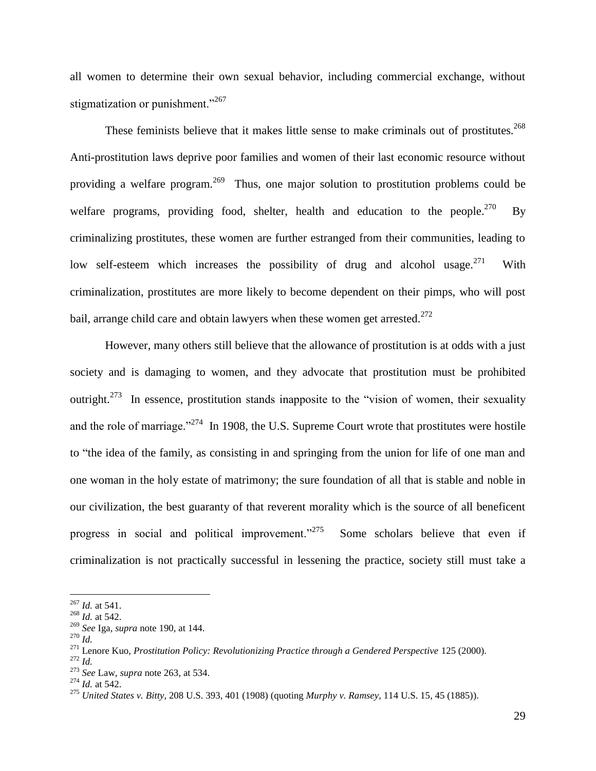all women to determine their own sexual behavior, including commercial exchange, without stigmatization or punishment."<sup>267</sup>

These feminists believe that it makes little sense to make criminals out of prostitutes.<sup>268</sup> Anti-prostitution laws deprive poor families and women of their last economic resource without providing a welfare program.<sup>269</sup> Thus, one major solution to prostitution problems could be welfare programs, providing food, shelter, health and education to the people. $^{270}$  By criminalizing prostitutes, these women are further estranged from their communities, leading to low self-esteem which increases the possibility of drug and alcohol usage.  $271$  With criminalization, prostitutes are more likely to become dependent on their pimps, who will post bail, arrange child care and obtain lawyers when these women get arrested.<sup>272</sup>

However, many others still believe that the allowance of prostitution is at odds with a just society and is damaging to women, and they advocate that prostitution must be prohibited outright.<sup>273</sup> In essence, prostitution stands inapposite to the "vision of women, their sexuality and the role of marriage."<sup>274</sup> In 1908, the U.S. Supreme Court wrote that prostitutes were hostile to "the idea of the family, as consisting in and springing from the union for life of one man and one woman in the holy estate of matrimony; the sure foundation of all that is stable and noble in our civilization, the best guaranty of that reverent morality which is the source of all beneficent progress in social and political improvement."<sup>275</sup> Some scholars believe that even if criminalization is not practically successful in lessening the practice, society still must take a

<sup>267</sup> *Id.* at 541.

<sup>268</sup> *Id.* at 542.

<sup>269</sup> *See* Iga, *supra* note 190, at 144.

<sup>270</sup> *Id.*

<sup>&</sup>lt;sup>271</sup> Lenore Kuo, *Prostitution Policy: Revolutionizing Practice through a Gendered Perspective* 125 (2000).

<sup>272</sup> *Id.*

<sup>273</sup> *See* Law, *supra* note 263, at 534.

<sup>274</sup> *Id.* at 542.

<sup>275</sup> *United States v. Bitty*[, 208 U.S. 393, 401 \(1908\)](https://web2.westlaw.com/find/default.wl?tf=-1&rs=WLW10.03&referencepositiontype=S&serialnum=1908100286&fn=_top&sv=Split&referenceposition=401&pbc=FDCA1F61&tc=-1&ordoc=0117389148&findtype=Y&db=780&vr=2.0&rp=%2ffind%2fdefault.wl&mt=208) (quoting *Murphy v. Ramsey*[, 114 U.S. 15, 45 \(1885\)\)](https://web2.westlaw.com/find/default.wl?tf=-1&rs=WLW10.03&referencepositiontype=S&serialnum=1885180171&fn=_top&sv=Split&referenceposition=45&pbc=FDCA1F61&tc=-1&ordoc=0117389148&findtype=Y&db=780&vr=2.0&rp=%2ffind%2fdefault.wl&mt=208).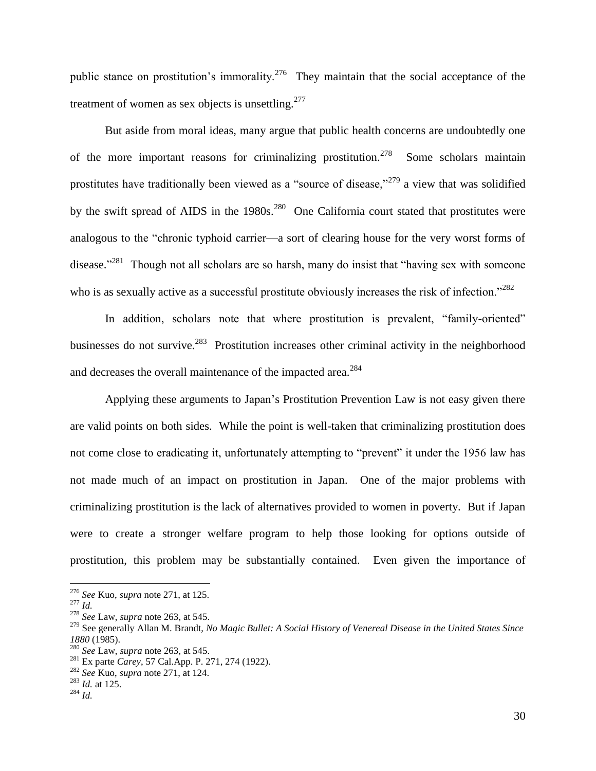public stance on prostitution's immorality.<sup>276</sup> They maintain that the social acceptance of the treatment of women as sex objects is unsettling. $277$ 

But aside from moral ideas, many argue that public health concerns are undoubtedly one of the more important reasons for criminalizing prostitution.<sup>278</sup> Some scholars maintain prostitutes have traditionally been viewed as a "source of disease,"<sup>279</sup> a view that was solidified by the swift spread of AIDS in the 1980s.<sup>280</sup> One California court stated that prostitutes were analogous to the "chronic typhoid carrier—a sort of clearing house for the very worst forms of disease."<sup>281</sup> Though not all scholars are so harsh, many do insist that "having sex with someone who is as sexually active as a successful prostitute obviously increases the risk of infection."<sup>282</sup>

In addition, scholars note that where prostitution is prevalent, "family-oriented" businesses do not survive.<sup>283</sup> Prostitution increases other criminal activity in the neighborhood and decreases the overall maintenance of the impacted area.<sup>284</sup>

Applying these arguments to Japan's Prostitution Prevention Law is not easy given there are valid points on both sides. While the point is well-taken that criminalizing prostitution does not come close to eradicating it, unfortunately attempting to "prevent" it under the 1956 law has not made much of an impact on prostitution in Japan. One of the major problems with criminalizing prostitution is the lack of alternatives provided to women in poverty. But if Japan were to create a stronger welfare program to help those looking for options outside of prostitution, this problem may be substantially contained. Even given the importance of

<sup>276</sup> *See* Kuo, *supra* note 271, at 125.

<sup>277</sup> *Id.*

<sup>278</sup> *See* Law, *supra* note 263, at 545.

<sup>279</sup> See generally Allan M. Brandt, *No Magic Bullet: A Social History of Venereal Disease in the United States Since 1880* (1985).

<sup>280</sup> *See* Law, *supra* note 263, at 545.

<sup>281</sup> Ex parte *Carey*[, 57 Cal.App. P. 271, 274 \(1922\).](https://web2.westlaw.com/find/default.wl?tf=-1&rs=WLW10.03&referencepositiontype=S&serialnum=1922116731&fn=_top&sv=Split&referenceposition=274&pbc=FDCA1F61&tc=-1&ordoc=0117389148&findtype=Y&db=660&vr=2.0&rp=%2ffind%2fdefault.wl&mt=208)

<sup>282</sup> *See* Kuo, *supra* note 271, at 124.

<sup>283</sup> *Id.* at 125.

<sup>284</sup> *Id.*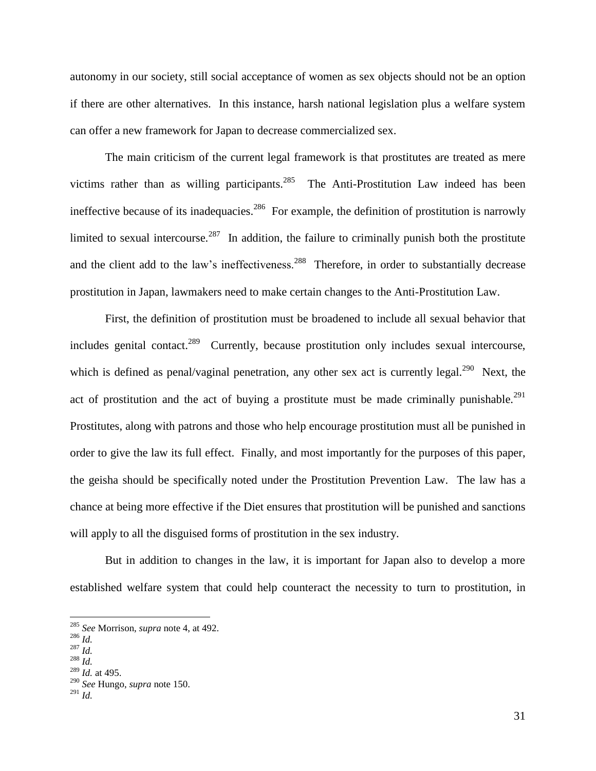autonomy in our society, still social acceptance of women as sex objects should not be an option if there are other alternatives. In this instance, harsh national legislation plus a welfare system can offer a new framework for Japan to decrease commercialized sex.

The main criticism of the current legal framework is that prostitutes are treated as mere victims rather than as willing participants. <sup>285</sup> The Anti-Prostitution Law indeed has been ineffective because of its inadequacies.<sup>286</sup> For example, the definition of prostitution is narrowly limited to sexual intercourse.<sup>287</sup> In addition, the failure to criminally punish both the prostitute and the client add to the law's ineffectiveness.  $288$  Therefore, in order to substantially decrease prostitution in Japan, lawmakers need to make certain changes to the Anti-Prostitution Law.

First, the definition of prostitution must be broadened to include all sexual behavior that includes genital contact.<sup>289</sup> Currently, because prostitution only includes sexual intercourse, which is defined as penal/vaginal penetration, any other sex act is currently legal.<sup>290</sup> Next, the act of prostitution and the act of buying a prostitute must be made criminally punishable.<sup>291</sup> Prostitutes, along with patrons and those who help encourage prostitution must all be punished in order to give the law its full effect. Finally, and most importantly for the purposes of this paper, the geisha should be specifically noted under the Prostitution Prevention Law. The law has a chance at being more effective if the Diet ensures that prostitution will be punished and sanctions will apply to all the disguised forms of prostitution in the sex industry.

But in addition to changes in the law, it is important for Japan also to develop a more established welfare system that could help counteract the necessity to turn to prostitution, in

<sup>285</sup> *See* Morrison, *supra* note 4, at 492.

<sup>286</sup> *Id.*

<sup>287</sup> *Id.*

<sup>288</sup> *Id.*

<sup>289</sup> *Id.* at 495.

<sup>290</sup> *See* Hungo, *supra* note 150.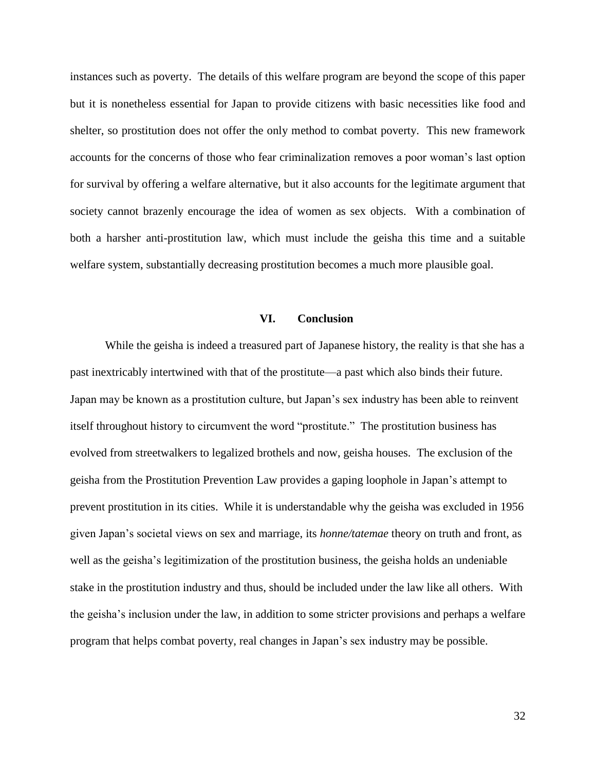instances such as poverty. The details of this welfare program are beyond the scope of this paper but it is nonetheless essential for Japan to provide citizens with basic necessities like food and shelter, so prostitution does not offer the only method to combat poverty. This new framework accounts for the concerns of those who fear criminalization removes a poor woman's last option for survival by offering a welfare alternative, but it also accounts for the legitimate argument that society cannot brazenly encourage the idea of women as sex objects. With a combination of both a harsher anti-prostitution law, which must include the geisha this time and a suitable welfare system, substantially decreasing prostitution becomes a much more plausible goal.

#### **VI. Conclusion**

While the geisha is indeed a treasured part of Japanese history, the reality is that she has a past inextricably intertwined with that of the prostitute—a past which also binds their future. Japan may be known as a prostitution culture, but Japan's sex industry has been able to reinvent itself throughout history to circumvent the word "prostitute." The prostitution business has evolved from streetwalkers to legalized brothels and now, geisha houses. The exclusion of the geisha from the Prostitution Prevention Law provides a gaping loophole in Japan's attempt to prevent prostitution in its cities. While it is understandable why the geisha was excluded in 1956 given Japan's societal views on sex and marriage, its *honne/tatemae* theory on truth and front, as well as the geisha's legitimization of the prostitution business, the geisha holds an undeniable stake in the prostitution industry and thus, should be included under the law like all others. With the geisha's inclusion under the law, in addition to some stricter provisions and perhaps a welfare program that helps combat poverty, real changes in Japan's sex industry may be possible.